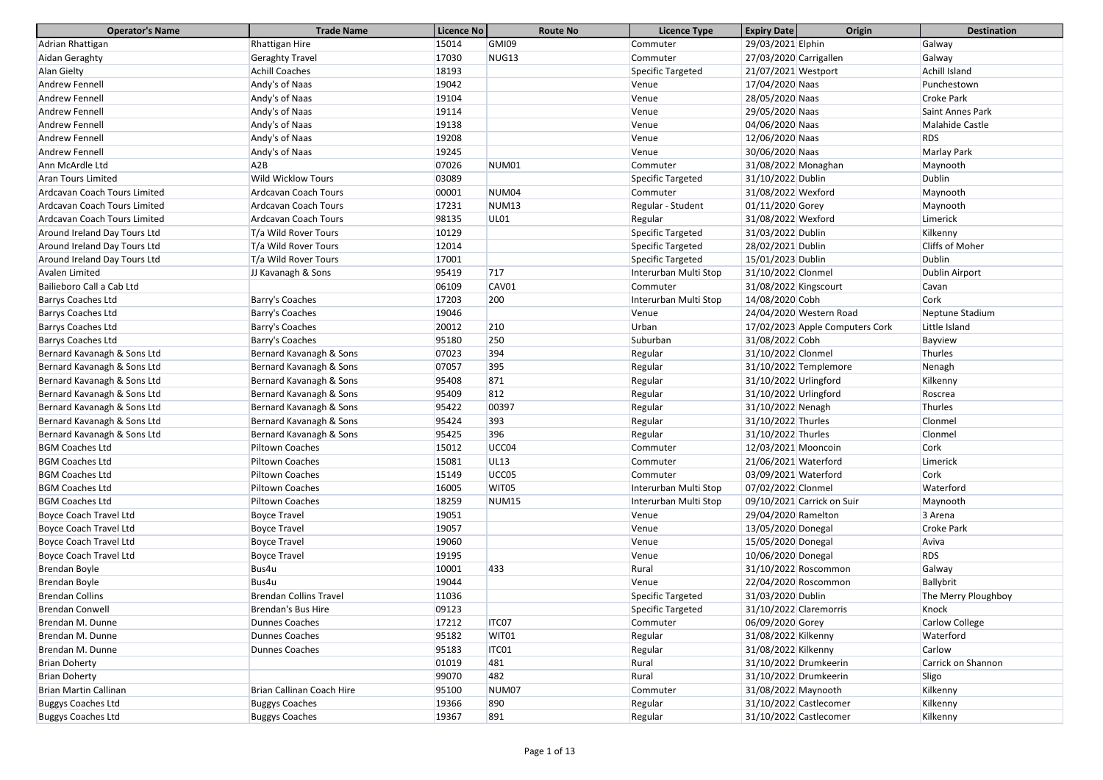| <b>Operator's Name</b>        | <b>Trade Name</b>             | Licence No | <b>Route No</b>   | <b>Licence Type</b>   | <b>Expiry Date</b><br>Origin    | <b>Destination</b>     |
|-------------------------------|-------------------------------|------------|-------------------|-----------------------|---------------------------------|------------------------|
| Adrian Rhattigan              | Rhattigan Hire                | 15014      | GMI09             | Commuter              | 29/03/2021 Elphin               | Galway                 |
| Aidan Geraghty                | <b>Geraghty Travel</b>        | 17030      | NUG13             | Commuter              | 27/03/2020 Carrigallen          | Galway                 |
| Alan Gielty                   | <b>Achill Coaches</b>         | 18193      |                   | Specific Targeted     | 21/07/2021 Westport             | <b>Achill Island</b>   |
| Andrew Fennell                | Andy's of Naas                | 19042      |                   | Venue                 | 17/04/2020 Naas                 | Punchestown            |
| Andrew Fennell                | Andy's of Naas                | 19104      |                   | Venue                 | 28/05/2020 Naas                 | <b>Croke Park</b>      |
| Andrew Fennell                | Andy's of Naas                | 19114      |                   | Venue                 | 29/05/2020 Naas                 | Saint Annes Park       |
| Andrew Fennell                | Andy's of Naas                | 19138      |                   | Venue                 | 04/06/2020 Naas                 | <b>Malahide Castle</b> |
| Andrew Fennell                | Andy's of Naas                | 19208      |                   | Venue                 | 12/06/2020 Naas                 | <b>RDS</b>             |
| Andrew Fennell                | Andy's of Naas                | 19245      |                   | Venue                 | 30/06/2020 Naas                 | <b>Marlay Park</b>     |
| Ann McArdle Ltd               | A2B                           | 07026      | NUM01             | Commuter              | 31/08/2022 Monaghan             | Maynooth               |
| <b>Aran Tours Limited</b>     | <b>Wild Wicklow Tours</b>     | 03089      |                   | Specific Targeted     | 31/10/2022 Dublin               | <b>Dublin</b>          |
| Ardcavan Coach Tours Limited  | <b>Ardcavan Coach Tours</b>   | 00001      | NUM04             | Commuter              | 31/08/2022 Wexford              | Maynooth               |
| Ardcavan Coach Tours Limited  | <b>Ardcavan Coach Tours</b>   | 17231      | NUM <sub>13</sub> | Regular - Student     | 01/11/2020 Gorey                | Maynooth               |
| Ardcavan Coach Tours Limited  | <b>Ardcavan Coach Tours</b>   | 98135      | <b>UL01</b>       | Regular               | 31/08/2022 Wexford              | Limerick               |
| Around Ireland Day Tours Ltd  | T/a Wild Rover Tours          | 10129      |                   | Specific Targeted     | 31/03/2022 Dublin               | Kilkenny               |
| Around Ireland Day Tours Ltd  | T/a Wild Rover Tours          | 12014      |                   | Specific Targeted     | 28/02/2021 Dublin               | Cliffs of Moher        |
| Around Ireland Day Tours Ltd  | T/a Wild Rover Tours          | 17001      |                   | Specific Targeted     | 15/01/2023 Dublin               | <b>Dublin</b>          |
| Avalen Limited                | JJ Kavanagh & Sons            | 95419      | 717               | Interurban Multi Stop | 31/10/2022 Clonmel              | Dublin Airport         |
| Bailieboro Call a Cab Ltd     |                               | 06109      | CAV01             | Commuter              | 31/08/2022 Kingscourt           | Cavan                  |
| <b>Barrys Coaches Ltd</b>     | Barry's Coaches               | 17203      | 200               | Interurban Multi Stop | 14/08/2020 Cobh                 | Cork                   |
| <b>Barrys Coaches Ltd</b>     | Barry's Coaches               | 19046      |                   | Venue                 | 24/04/2020 Western Road         | Neptune Stadium        |
| Barrys Coaches Ltd            | Barry's Coaches               | 20012      | 210               | Urban                 | 17/02/2023 Apple Computers Cork | Little Island          |
| <b>Barrys Coaches Ltd</b>     | Barry's Coaches               | 95180      | 250               | Suburban              | 31/08/2022 Cobh                 | Bayview                |
| Bernard Kavanagh & Sons Ltd   | Bernard Kavanagh & Sons       | 07023      | 394               | Regular               | 31/10/2022 Clonmel              | Thurles                |
| Bernard Kavanagh & Sons Ltd   | Bernard Kavanagh & Sons       | 07057      | 395               | Regular               | 31/10/2022 Templemore           | Nenagh                 |
| Bernard Kavanagh & Sons Ltd   | Bernard Kavanagh & Sons       | 95408      | 871               | Regular               | 31/10/2022 Urlingford           | Kilkenny               |
| Bernard Kavanagh & Sons Ltd   | Bernard Kavanagh & Sons       | 95409      | 812               | Regular               | 31/10/2022 Urlingford           | Roscrea                |
| Bernard Kavanagh & Sons Ltd   | Bernard Kavanagh & Sons       | 95422      | 00397             | Regular               | 31/10/2022 Nenagh               | Thurles                |
| Bernard Kavanagh & Sons Ltd   | Bernard Kavanagh & Sons       | 95424      | 393               | Regular               | 31/10/2022 Thurles              | Clonmel                |
| Bernard Kavanagh & Sons Ltd   | Bernard Kavanagh & Sons       | 95425      | 396               | Regular               | 31/10/2022 Thurles              | Clonmel                |
| <b>BGM Coaches Ltd</b>        | Piltown Coaches               | 15012      | UCC04             | Commuter              | 12/03/2021 Mooncoin             | Cork                   |
| <b>BGM Coaches Ltd</b>        | <b>Piltown Coaches</b>        | 15081      | <b>UL13</b>       | Commuter              | 21/06/2021 Waterford            | Limerick               |
| <b>BGM Coaches Ltd</b>        | <b>Piltown Coaches</b>        | 15149      | UCC05             | Commuter              | 03/09/2021 Waterford            | Cork                   |
| <b>BGM Coaches Ltd</b>        | Piltown Coaches               | 16005      | WIT05             | Interurban Multi Stop | 07/02/2022 Clonmel              | Waterford              |
| <b>BGM Coaches Ltd</b>        | Piltown Coaches               | 18259      | NUM <sub>15</sub> | Interurban Multi Stop | 09/10/2021 Carrick on Suir      | Maynooth               |
| <b>Boyce Coach Travel Ltd</b> | <b>Boyce Travel</b>           | 19051      |                   | Venue                 | 29/04/2020 Ramelton             | 3 Arena                |
| <b>Boyce Coach Travel Ltd</b> | <b>Boyce Travel</b>           | 19057      |                   | Venue                 | 13/05/2020 Donegal              | <b>Croke Park</b>      |
| <b>Boyce Coach Travel Ltd</b> | <b>Boyce Travel</b>           | 19060      |                   | Venue                 | 15/05/2020 Donegal              | Aviva                  |
| <b>Boyce Coach Travel Ltd</b> | <b>Boyce Travel</b>           | 19195      |                   | Venue                 | 10/06/2020 Donegal              | <b>RDS</b>             |
| Brendan Boyle                 | Bus4u                         | 10001      | 433               | Rural                 | 31/10/2022 Roscommon            | Galway                 |
| Brendan Boyle                 | Bus4u                         | 19044      |                   | Venue                 | 22/04/2020 Roscommon            | Ballybrit              |
| <b>Brendan Collins</b>        | <b>Brendan Collins Travel</b> | 11036      |                   | Specific Targeted     | 31/03/2020 Dublin               | The Merry Ploughboy    |
| <b>Brendan Conwell</b>        | <b>Brendan's Bus Hire</b>     | 09123      |                   | Specific Targeted     | 31/10/2022 Claremorris          | Knock                  |
| Brendan M. Dunne              | <b>Dunnes Coaches</b>         | 17212      | <b>ITCO7</b>      | Commuter              | 06/09/2020 Gorey                | <b>Carlow College</b>  |
| Brendan M. Dunne              | <b>Dunnes Coaches</b>         | 95182      | WIT01             | Regular               | 31/08/2022 Kilkenny             | Waterford              |
| Brendan M. Dunne              | <b>Dunnes Coaches</b>         | 95183      | ITC01             | Regular               | 31/08/2022 Kilkenny             | Carlow                 |
| <b>Brian Doherty</b>          |                               | 01019      | 481               | Rural                 | 31/10/2022 Drumkeerin           | Carrick on Shannon     |
| <b>Brian Doherty</b>          |                               | 99070      | 482               | Rural                 | 31/10/2022 Drumkeerin           | Sligo                  |
| Brian Martin Callinan         | Brian Callinan Coach Hire     | 95100      | NUM <sub>07</sub> | Commuter              | 31/08/2022 Maynooth             | Kilkenny               |
| <b>Buggys Coaches Ltd</b>     | <b>Buggys Coaches</b>         | 19366      | 890               | Regular               | 31/10/2022 Castlecomer          | Kilkenny               |
| <b>Buggys Coaches Ltd</b>     | <b>Buggys Coaches</b>         | 19367      | 891               | Regular               | 31/10/2022 Castlecomer          | Kilkenny               |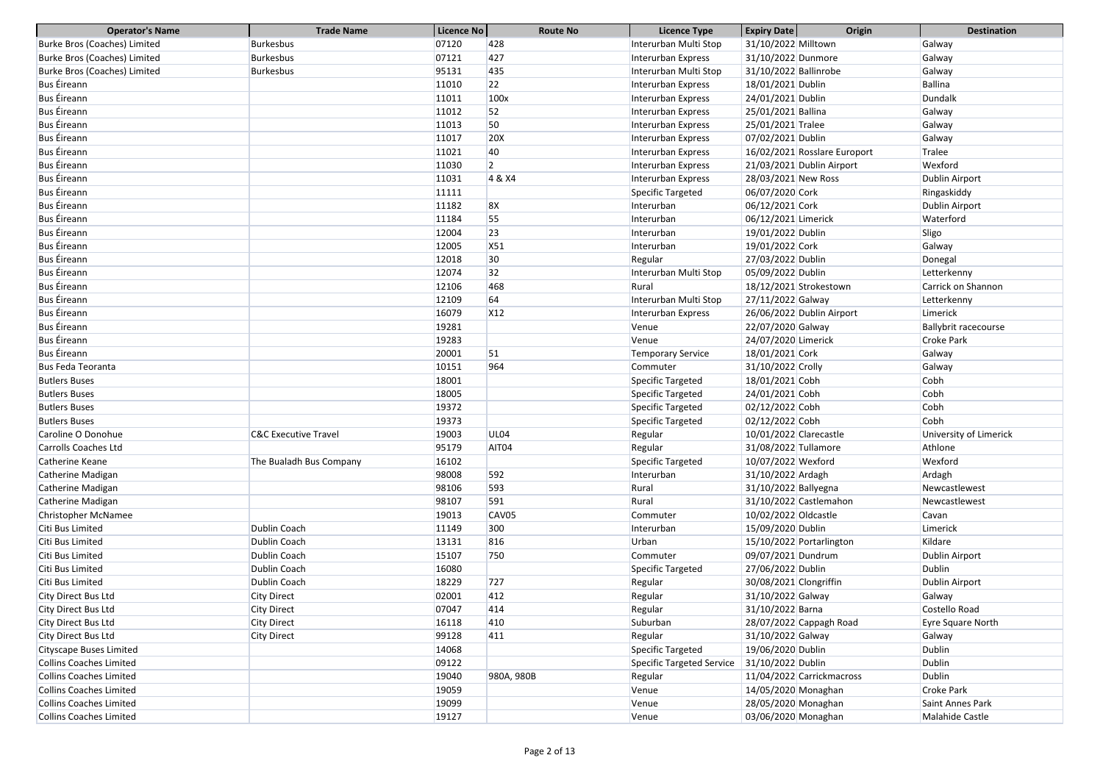| <b>Operator's Name</b>              | <b>Trade Name</b>               | Licence No | <b>Route No</b> | <b>Licence Type</b>       | <b>Expiry Date</b>        | Origin                       | <b>Destination</b>          |
|-------------------------------------|---------------------------------|------------|-----------------|---------------------------|---------------------------|------------------------------|-----------------------------|
| Burke Bros (Coaches) Limited        | <b>Burkesbus</b>                | 07120      | 428             | Interurban Multi Stop     | 31/10/2022 Milltown       |                              | Galway                      |
| <b>Burke Bros (Coaches) Limited</b> | <b>Burkesbus</b>                | 07121      | 427             | Interurban Express        | 31/10/2022 Dunmore        |                              | Galway                      |
| <b>Burke Bros (Coaches) Limited</b> | <b>Burkesbus</b>                | 95131      | 435             | Interurban Multi Stop     | 31/10/2022 Ballinrobe     |                              | Galway                      |
| <b>Bus Éireann</b>                  |                                 | 11010      | 22              | Interurban Express        | 18/01/2021 Dublin         |                              | <b>Ballina</b>              |
| <b>Bus Éireann</b>                  |                                 | 11011      | 100x            | Interurban Express        | 24/01/2021 Dublin         |                              | Dundalk                     |
| <b>Bus Éireann</b>                  |                                 | 11012      | 52              | Interurban Express        | 25/01/2021 Ballina        |                              | Galway                      |
| <b>Bus Éireann</b>                  |                                 | 11013      | 50              | Interurban Express        | 25/01/2021 Tralee         |                              | Galway                      |
| <b>Bus Éireann</b>                  |                                 | 11017      | <b>20X</b>      | Interurban Express        | 07/02/2021 Dublin         |                              | Galway                      |
| <b>Bus Éireann</b>                  |                                 | 11021      | 40              | Interurban Express        |                           | 16/02/2021 Rosslare Europort | Tralee                      |
| <b>Bus Éireann</b>                  |                                 | 11030      | $ 2\rangle$     | Interurban Express        | 21/03/2021 Dublin Airport |                              | Wexford                     |
| <b>Bus Éireann</b>                  |                                 | 11031      | 4 & X4          | Interurban Express        | 28/03/2021 New Ross       |                              | Dublin Airport              |
| <b>Bus Éireann</b>                  |                                 | 11111      |                 | Specific Targeted         | 06/07/2020 Cork           |                              | Ringaskiddy                 |
| <b>Bus Éireann</b>                  |                                 | 11182      | 8X              | Interurban                | 06/12/2021 Cork           |                              | Dublin Airport              |
| <b>Bus Éireann</b>                  |                                 | 11184      | 55              | Interurban                | 06/12/2021 Limerick       |                              | Waterford                   |
| <b>Bus Éireann</b>                  |                                 | 12004      | 23              | Interurban                | 19/01/2022 Dublin         |                              | Sligo                       |
| <b>Bus Éireann</b>                  |                                 | 12005      | X51             | Interurban                | 19/01/2022 Cork           |                              | Galway                      |
| <b>Bus Éireann</b>                  |                                 | 12018      | 30              | Regular                   | 27/03/2022 Dublin         |                              | Donegal                     |
| <b>Bus Éireann</b>                  |                                 | 12074      | 32              | Interurban Multi Stop     | 05/09/2022 Dublin         |                              | Letterkenny                 |
| <b>Bus Éireann</b>                  |                                 | 12106      | 468             | Rural                     | 18/12/2021 Strokestown    |                              | Carrick on Shannon          |
| <b>Bus Éireann</b>                  |                                 | 12109      | 64              | Interurban Multi Stop     | 27/11/2022 Galway         |                              | Letterkenny                 |
| <b>Bus Éireann</b>                  |                                 | 16079      | X <sub>12</sub> | Interurban Express        | 26/06/2022 Dublin Airport |                              | Limerick                    |
| <b>Bus Éireann</b>                  |                                 | 19281      |                 | Venue                     | 22/07/2020 Galway         |                              | <b>Ballybrit racecourse</b> |
| <b>Bus Éireann</b>                  |                                 | 19283      |                 | Venue                     | 24/07/2020 Limerick       |                              | <b>Croke Park</b>           |
| <b>Bus Éireann</b>                  |                                 | 20001      | 51              | <b>Temporary Service</b>  | 18/01/2021 Cork           |                              | Galway                      |
| <b>Bus Feda Teoranta</b>            |                                 | 10151      | 964             | Commuter                  | 31/10/2022 Crolly         |                              | Galway                      |
| <b>Butlers Buses</b>                |                                 | 18001      |                 | Specific Targeted         | 18/01/2021 Cobh           |                              | Cobh                        |
| <b>Butlers Buses</b>                |                                 | 18005      |                 | Specific Targeted         | 24/01/2021 Cobh           |                              | Cobh                        |
| <b>Butlers Buses</b>                |                                 | 19372      |                 | Specific Targeted         | 02/12/2022 Cobh           |                              | Cobh                        |
| <b>Butlers Buses</b>                |                                 | 19373      |                 | <b>Specific Targeted</b>  | 02/12/2022 Cobh           |                              | Cobh                        |
| Caroline O Donohue                  | <b>C&amp;C Executive Travel</b> | 19003      | <b>UL04</b>     | Regular                   | 10/01/2022 Clarecastle    |                              | University of Limerick      |
| <b>Carrolls Coaches Ltd</b>         |                                 | 95179      | AIT04           | Regular                   | 31/08/2022 Tullamore      |                              | Athlone                     |
| Catherine Keane                     | The Bualadh Bus Company         | 16102      |                 | Specific Targeted         | 10/07/2022 Wexford        |                              | Wexford                     |
| Catherine Madigan                   |                                 | 98008      | 592             | Interurban                | 31/10/2022 Ardagh         |                              | Ardagh                      |
| Catherine Madigan                   |                                 | 98106      | 593             | Rural                     | 31/10/2022 Ballyegna      |                              | Newcastlewest               |
| Catherine Madigan                   |                                 | 98107      | 591             | Rural                     | 31/10/2022 Castlemahon    |                              | Newcastlewest               |
| Christopher McNamee                 |                                 | 19013      | CAV05           | Commuter                  | 10/02/2022 Oldcastle      |                              | Cavan                       |
| Citi Bus Limited                    | Dublin Coach                    | 11149      | 300             | Interurban                | 15/09/2020 Dublin         |                              | Limerick                    |
| Citi Bus Limited                    | Dublin Coach                    | 13131      | 816             | Urban                     | 15/10/2022 Portarlington  |                              | Kildare                     |
| Citi Bus Limited                    | Dublin Coach                    | 15107      | 750             | Commuter                  | 09/07/2021 Dundrum        |                              | Dublin Airport              |
| Citi Bus Limited                    | Dublin Coach                    | 16080      |                 | Specific Targeted         | 27/06/2022 Dublin         |                              | <b>Dublin</b>               |
| Citi Bus Limited                    | Dublin Coach                    | 18229      | $727$           | Regular                   | 30/08/2021 Clongriffin    |                              | Dublin Airport              |
| City Direct Bus Ltd                 | <b>City Direct</b>              | 02001      | 412             | Regular                   | 31/10/2022 Galway         |                              | Galway                      |
| City Direct Bus Ltd                 | <b>City Direct</b>              | 07047      | 414             | Regular                   | 31/10/2022 Barna          |                              | Costello Road               |
| City Direct Bus Ltd                 | <b>City Direct</b>              | 16118      | 410             | Suburban                  | 28/07/2022 Cappagh Road   |                              | Eyre Square North           |
| City Direct Bus Ltd                 | <b>City Direct</b>              | 99128      | 411             | Regular                   | 31/10/2022 Galway         |                              | Galway                      |
| <b>Cityscape Buses Limited</b>      |                                 | 14068      |                 | Specific Targeted         | 19/06/2020 Dublin         |                              | <b>Dublin</b>               |
| <b>Collins Coaches Limited</b>      |                                 | 09122      |                 | Specific Targeted Service | 31/10/2022 Dublin         |                              | <b>Dublin</b>               |
| <b>Collins Coaches Limited</b>      |                                 | 19040      | 980A, 980B      | Regular                   | 11/04/2022 Carrickmacross |                              | <b>Dublin</b>               |
| <b>Collins Coaches Limited</b>      |                                 | 19059      |                 | Venue                     | 14/05/2020 Monaghan       |                              | <b>Croke Park</b>           |
| <b>Collins Coaches Limited</b>      |                                 | 19099      |                 | Venue                     | 28/05/2020 Monaghan       |                              | Saint Annes Park            |
| <b>Collins Coaches Limited</b>      |                                 | 19127      |                 | Venue                     | 03/06/2020 Monaghan       |                              | Malahide Castle             |
|                                     |                                 |            |                 |                           |                           |                              |                             |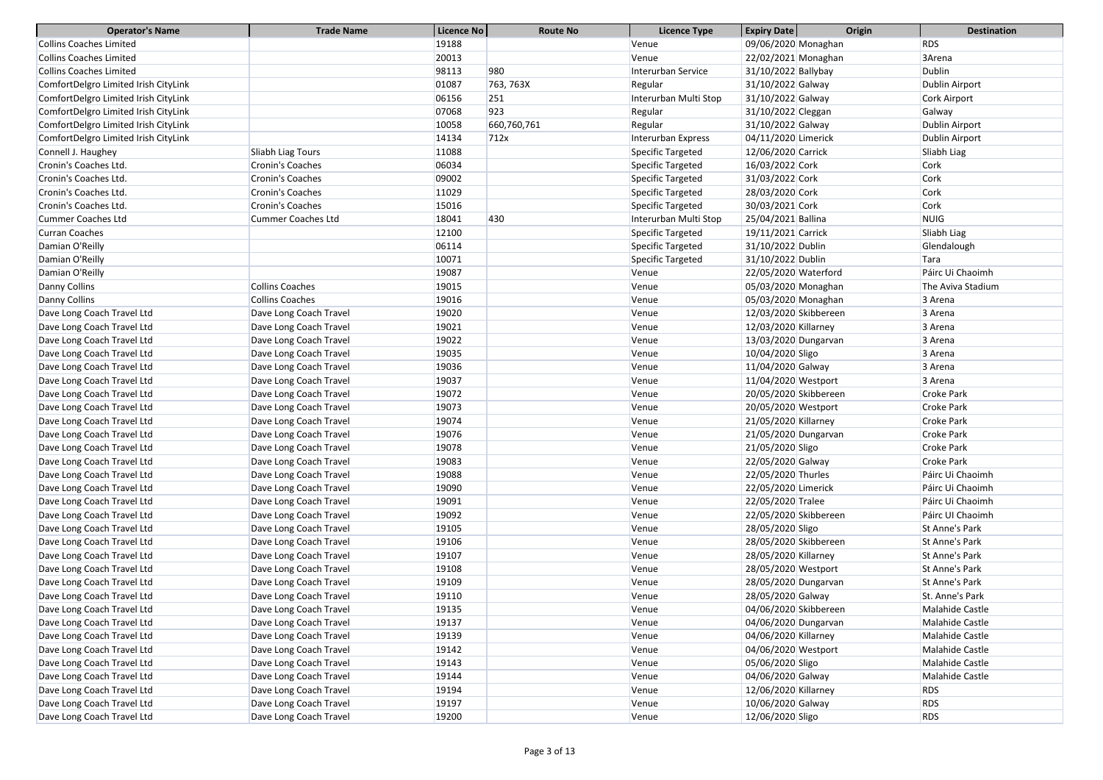| <b>Operator's Name</b>               | <b>Trade Name</b>         | Licence No | <b>Route No</b> | <b>Licence Type</b>   | <b>Expiry Date</b>    | Origin | <b>Destination</b> |
|--------------------------------------|---------------------------|------------|-----------------|-----------------------|-----------------------|--------|--------------------|
| <b>Collins Coaches Limited</b>       |                           | 19188      |                 | Venue                 | 09/06/2020 Monaghan   |        | <b>RDS</b>         |
| <b>Collins Coaches Limited</b>       |                           | 20013      |                 | Venue                 | 22/02/2021 Monaghan   |        | 3Arena             |
| <b>Collins Coaches Limited</b>       |                           | 98113      | 980             | Interurban Service    | 31/10/2022 Ballybay   |        | <b>Dublin</b>      |
| ComfortDelgro Limited Irish CityLink |                           | 01087      | 763, 763X       | Regular               | 31/10/2022 Galway     |        | Dublin Airport     |
| ComfortDelgro Limited Irish CityLink |                           | 06156      | 251             | Interurban Multi Stop | 31/10/2022 Galway     |        | Cork Airport       |
| ComfortDelgro Limited Irish CityLink |                           | 07068      | 923             | Regular               | 31/10/2022 Cleggan    |        | Galway             |
| ComfortDelgro Limited Irish CityLink |                           | 10058      | 660,760,761     | Regular               | 31/10/2022 Galway     |        | Dublin Airport     |
| ComfortDelgro Limited Irish CityLink |                           | 14134      | 712x            | Interurban Express    | 04/11/2020 Limerick   |        | Dublin Airport     |
| Connell J. Haughey                   | Sliabh Liag Tours         | 11088      |                 | Specific Targeted     | 12/06/2020 Carrick    |        | Sliabh Liag        |
| Cronin's Coaches Ltd.                | Cronin's Coaches          | 06034      |                 | Specific Targeted     | 16/03/2022 Cork       |        | Cork               |
| Cronin's Coaches Ltd.                | Cronin's Coaches          | 09002      |                 | Specific Targeted     | 31/03/2022 Cork       |        | Cork               |
| Cronin's Coaches Ltd.                | Cronin's Coaches          | 11029      |                 | Specific Targeted     | 28/03/2020 Cork       |        | Cork               |
| Cronin's Coaches Ltd.                | Cronin's Coaches          | 15016      |                 | Specific Targeted     | 30/03/2021 Cork       |        | Cork               |
| <b>Cummer Coaches Ltd</b>            | <b>Cummer Coaches Ltd</b> | 18041      | 430             | Interurban Multi Stop | 25/04/2021 Ballina    |        | <b>NUIG</b>        |
| <b>Curran Coaches</b>                |                           | 12100      |                 | Specific Targeted     | 19/11/2021 Carrick    |        | Sliabh Liag        |
| Damian O'Reilly                      |                           | 06114      |                 | Specific Targeted     | 31/10/2022 Dublin     |        | Glendalough        |
| Damian O'Reilly                      |                           | 10071      |                 | Specific Targeted     | 31/10/2022 Dublin     |        | Tara               |
| Damian O'Reilly                      |                           | 19087      |                 | Venue                 | 22/05/2020 Waterford  |        | Páirc Ui Chaoimh   |
| Danny Collins                        | <b>Collins Coaches</b>    | 19015      |                 | Venue                 | 05/03/2020 Monaghan   |        | The Aviva Stadium  |
| Danny Collins                        | <b>Collins Coaches</b>    | 19016      |                 | Venue                 | 05/03/2020 Monaghan   |        | 3 Arena            |
| Dave Long Coach Travel Ltd           | Dave Long Coach Travel    | 19020      |                 | Venue                 | 12/03/2020 Skibbereen |        | 3 Arena            |
| Dave Long Coach Travel Ltd           | Dave Long Coach Travel    | 19021      |                 | Venue                 | 12/03/2020 Killarney  |        | 3 Arena            |
| Dave Long Coach Travel Ltd           | Dave Long Coach Travel    | 19022      |                 | Venue                 | 13/03/2020 Dungarvan  |        | 3 Arena            |
| Dave Long Coach Travel Ltd           | Dave Long Coach Travel    | 19035      |                 | Venue                 | 10/04/2020 Sligo      |        | 3 Arena            |
| Dave Long Coach Travel Ltd           | Dave Long Coach Travel    | 19036      |                 | Venue                 | 11/04/2020 Galway     |        | 3 Arena            |
| Dave Long Coach Travel Ltd           | Dave Long Coach Travel    | 19037      |                 | Venue                 | 11/04/2020 Westport   |        | 3 Arena            |
| Dave Long Coach Travel Ltd           | Dave Long Coach Travel    | 19072      |                 | Venue                 | 20/05/2020 Skibbereen |        | <b>Croke Park</b>  |
| Dave Long Coach Travel Ltd           | Dave Long Coach Travel    | 19073      |                 | Venue                 | 20/05/2020 Westport   |        | <b>Croke Park</b>  |
| Dave Long Coach Travel Ltd           | Dave Long Coach Travel    | 19074      |                 | Venue                 | 21/05/2020 Killarney  |        | <b>Croke Park</b>  |
| Dave Long Coach Travel Ltd           | Dave Long Coach Travel    | 19076      |                 | Venue                 | 21/05/2020 Dungarvan  |        | <b>Croke Park</b>  |
| Dave Long Coach Travel Ltd           | Dave Long Coach Travel    | 19078      |                 | Venue                 | 21/05/2020 Sligo      |        | Croke Park         |
| Dave Long Coach Travel Ltd           | Dave Long Coach Travel    | 19083      |                 | Venue                 | 22/05/2020 Galway     |        | Croke Park         |
| Dave Long Coach Travel Ltd           | Dave Long Coach Travel    | 19088      |                 | Venue                 | 22/05/2020 Thurles    |        | Páirc Ui Chaoimh   |
| Dave Long Coach Travel Ltd           | Dave Long Coach Travel    | 19090      |                 | Venue                 | 22/05/2020 Limerick   |        | Páirc Ui Chaoimh   |
| Dave Long Coach Travel Ltd           | Dave Long Coach Travel    | 19091      |                 | Venue                 | 22/05/2020 Tralee     |        | Páirc Ui Chaoimh   |
| Dave Long Coach Travel Ltd           | Dave Long Coach Travel    | 19092      |                 | Venue                 | 22/05/2020 Skibbereen |        | Páirc UI Chaoimh   |
| Dave Long Coach Travel Ltd           | Dave Long Coach Travel    | 19105      |                 | Venue                 | 28/05/2020 Sligo      |        | St Anne's Park     |
| Dave Long Coach Travel Ltd           | Dave Long Coach Travel    | 19106      |                 | Venue                 | 28/05/2020 Skibbereen |        | St Anne's Park     |
| Dave Long Coach Travel Ltd           | Dave Long Coach Travel    | 19107      |                 | Venue                 | 28/05/2020 Killarney  |        | St Anne's Park     |
| Dave Long Coach Travel Ltd           | Dave Long Coach Travel    | 19108      |                 | Venue                 | 28/05/2020 Westport   |        | St Anne's Park     |
| Dave Long Coach Travel Ltd           | Dave Long Coach Travel    | 19109      |                 | Venue                 | 28/05/2020 Dungarvan  |        | St Anne's Park     |
| Dave Long Coach Travel Ltd           | Dave Long Coach Travel    | 19110      |                 | Venue                 | 28/05/2020 Galway     |        | St. Anne's Park    |
| Dave Long Coach Travel Ltd           | Dave Long Coach Travel    | 19135      |                 | Venue                 | 04/06/2020 Skibbereen |        | Malahide Castle    |
| Dave Long Coach Travel Ltd           | Dave Long Coach Travel    | 19137      |                 | Venue                 | 04/06/2020 Dungarvan  |        | Malahide Castle    |
| Dave Long Coach Travel Ltd           | Dave Long Coach Travel    | 19139      |                 | Venue                 | 04/06/2020 Killarney  |        | Malahide Castle    |
| Dave Long Coach Travel Ltd           | Dave Long Coach Travel    | 19142      |                 | Venue                 | 04/06/2020 Westport   |        | Malahide Castle    |
| Dave Long Coach Travel Ltd           | Dave Long Coach Travel    | 19143      |                 | Venue                 | 05/06/2020 Sligo      |        | Malahide Castle    |
| Dave Long Coach Travel Ltd           | Dave Long Coach Travel    | 19144      |                 | Venue                 | 04/06/2020 Galway     |        | Malahide Castle    |
| Dave Long Coach Travel Ltd           | Dave Long Coach Travel    | 19194      |                 | Venue                 | 12/06/2020 Killarney  |        | <b>RDS</b>         |
| Dave Long Coach Travel Ltd           | Dave Long Coach Travel    | 19197      |                 | Venue                 | 10/06/2020 Galway     |        | <b>RDS</b>         |
| Dave Long Coach Travel Ltd           | Dave Long Coach Travel    | 19200      |                 | Venue                 | 12/06/2020 Sligo      |        | <b>RDS</b>         |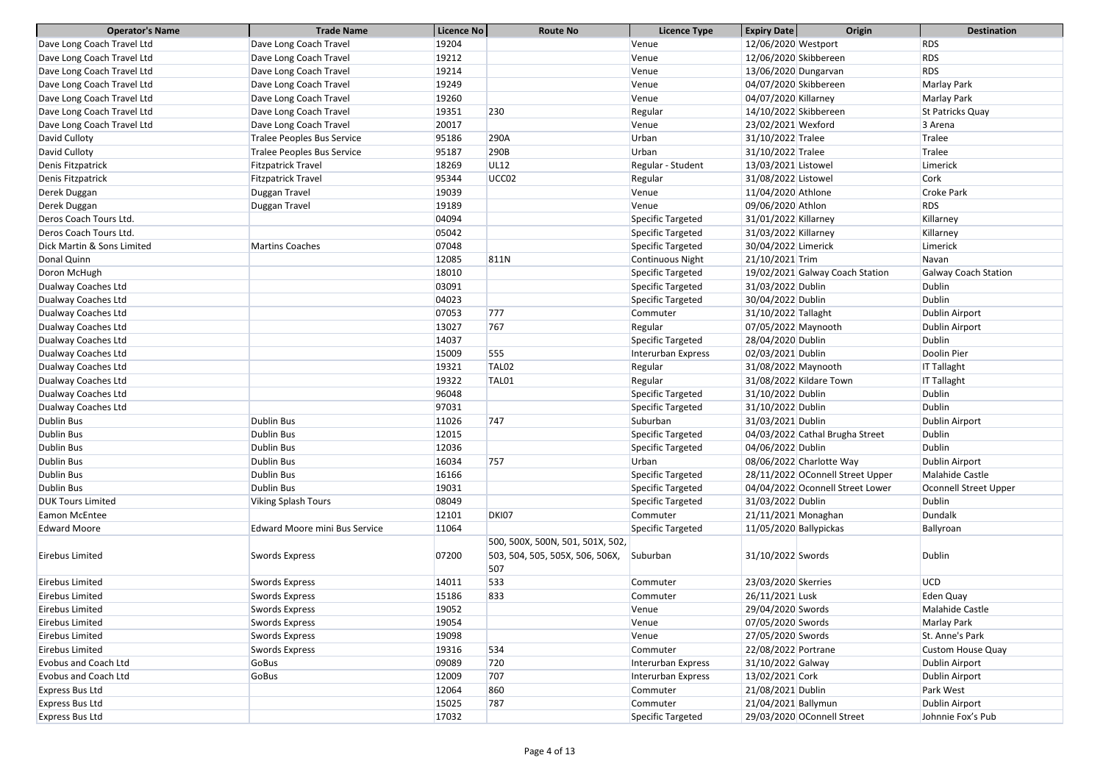| <b>Operator's Name</b>      | <b>Trade Name</b>                    | Licence No | <b>Route No</b>                                                            | <b>Licence Type</b> | <b>Expiry Date</b>     | Origin                           | <b>Destination</b>           |
|-----------------------------|--------------------------------------|------------|----------------------------------------------------------------------------|---------------------|------------------------|----------------------------------|------------------------------|
| Dave Long Coach Travel Ltd  | Dave Long Coach Travel               | 19204      |                                                                            | Venue               | 12/06/2020 Westport    |                                  | <b>RDS</b>                   |
| Dave Long Coach Travel Ltd  | Dave Long Coach Travel               | 19212      |                                                                            | Venue               |                        | 12/06/2020 Skibbereen            | <b>RDS</b>                   |
| Dave Long Coach Travel Ltd  | Dave Long Coach Travel               | 19214      |                                                                            | Venue               | 13/06/2020 Dungarvan   |                                  | <b>RDS</b>                   |
| Dave Long Coach Travel Ltd  | Dave Long Coach Travel               | 19249      |                                                                            | Venue               | 04/07/2020 Skibbereen  |                                  | <b>Marlay Park</b>           |
| Dave Long Coach Travel Ltd  | Dave Long Coach Travel               | 19260      |                                                                            | Venue               | 04/07/2020 Killarney   |                                  | <b>Marlay Park</b>           |
| Dave Long Coach Travel Ltd  | Dave Long Coach Travel               | 19351      | 230                                                                        | Regular             |                        | 14/10/2022 Skibbereen            | St Patricks Quay             |
| Dave Long Coach Travel Ltd  | Dave Long Coach Travel               | 20017      |                                                                            | Venue               | 23/02/2021 Wexford     |                                  | 3 Arena                      |
| David Culloty               | <b>Tralee Peoples Bus Service</b>    | 95186      | 290A                                                                       | Urban               | 31/10/2022 Tralee      |                                  | Tralee                       |
| David Culloty               | <b>Tralee Peoples Bus Service</b>    | 95187      | 290B                                                                       | Urban               | 31/10/2022 Tralee      |                                  | Tralee                       |
| Denis Fitzpatrick           | <b>Fitzpatrick Travel</b>            | 18269      | <b>UL12</b>                                                                | Regular - Student   | 13/03/2021 Listowel    |                                  | Limerick                     |
| Denis Fitzpatrick           | <b>Fitzpatrick Travel</b>            | 95344      | UCC <sub>02</sub>                                                          | Regular             | 31/08/2022 Listowel    |                                  | Cork                         |
| Derek Duggan                | Duggan Travel                        | 19039      |                                                                            | Venue               | 11/04/2020 Athlone     |                                  | <b>Croke Park</b>            |
| Derek Duggan                | Duggan Travel                        | 19189      |                                                                            | Venue               | 09/06/2020 Athlon      |                                  | <b>RDS</b>                   |
| Deros Coach Tours Ltd.      |                                      | 04094      |                                                                            | Specific Targeted   | 31/01/2022 Killarney   |                                  | Killarney                    |
| Deros Coach Tours Ltd.      |                                      | 05042      |                                                                            | Specific Targeted   | 31/03/2022 Killarney   |                                  | Killarney                    |
| Dick Martin & Sons Limited  | <b>Martins Coaches</b>               | 07048      |                                                                            | Specific Targeted   | 30/04/2022 Limerick    |                                  | Limerick                     |
| Donal Quinn                 |                                      | 12085      | 811N                                                                       | Continuous Night    | 21/10/2021 Trim        |                                  | Navan                        |
| Doron McHugh                |                                      | 18010      |                                                                            | Specific Targeted   |                        | 19/02/2021 Galway Coach Station  | <b>Galway Coach Station</b>  |
| Dualway Coaches Ltd         |                                      | 03091      |                                                                            | Specific Targeted   | 31/03/2022 Dublin      |                                  | <b>Dublin</b>                |
| Dualway Coaches Ltd         |                                      | 04023      |                                                                            | Specific Targeted   | 30/04/2022 Dublin      |                                  | <b>Dublin</b>                |
| Dualway Coaches Ltd         |                                      | 07053      | 777                                                                        | Commuter            | 31/10/2022 Tallaght    |                                  | Dublin Airport               |
| Dualway Coaches Ltd         |                                      | 13027      | 767                                                                        | Regular             | 07/05/2022 Maynooth    |                                  | Dublin Airport               |
| Dualway Coaches Ltd         |                                      | 14037      |                                                                            | Specific Targeted   | 28/04/2020 Dublin      |                                  | <b>Dublin</b>                |
| Dualway Coaches Ltd         |                                      | 15009      | 555                                                                        | Interurban Express  | 02/03/2021 Dublin      |                                  | Doolin Pier                  |
| Dualway Coaches Ltd         |                                      | 19321      | TAL <sub>02</sub>                                                          | Regular             | 31/08/2022 Maynooth    |                                  | <b>IT Tallaght</b>           |
| Dualway Coaches Ltd         |                                      | 19322      | TAL01                                                                      | Regular             |                        | 31/08/2022 Kildare Town          | <b>IT Tallaght</b>           |
| Dualway Coaches Ltd         |                                      | 96048      |                                                                            | Specific Targeted   | 31/10/2022 Dublin      |                                  | <b>Dublin</b>                |
| Dualway Coaches Ltd         |                                      | 97031      |                                                                            | Specific Targeted   | 31/10/2022 Dublin      |                                  | <b>Dublin</b>                |
| <b>Dublin Bus</b>           | Dublin Bus                           | 11026      | 747                                                                        | Suburban            | 31/03/2021 Dublin      |                                  | Dublin Airport               |
| <b>Dublin Bus</b>           | Dublin Bus                           | 12015      |                                                                            | Specific Targeted   |                        | 04/03/2022 Cathal Brugha Street  | Dublin                       |
| <b>Dublin Bus</b>           | Dublin Bus                           | 12036      |                                                                            | Specific Targeted   | 04/06/2022 Dublin      |                                  | <b>Dublin</b>                |
| <b>Dublin Bus</b>           | Dublin Bus                           | 16034      | 757                                                                        | Urban               |                        | 08/06/2022 Charlotte Way         | Dublin Airport               |
| <b>Dublin Bus</b>           | Dublin Bus                           | 16166      |                                                                            | Specific Targeted   |                        | 28/11/2022 OConnell Street Upper | Malahide Castle              |
| <b>Dublin Bus</b>           | Dublin Bus                           | 19031      |                                                                            | Specific Targeted   |                        | 04/04/2022 Oconnell Street Lower | <b>Oconnell Street Upper</b> |
| <b>DUK Tours Limited</b>    | <b>Viking Splash Tours</b>           | 08049      |                                                                            | Specific Targeted   | 31/03/2022 Dublin      |                                  | <b>Dublin</b>                |
| Eamon McEntee               |                                      | 12101      | DKI07                                                                      | Commuter            | 21/11/2021 Monaghan    |                                  | Dundalk                      |
| <b>Edward Moore</b>         | <b>Edward Moore mini Bus Service</b> | 11064      |                                                                            | Specific Targeted   | 11/05/2020 Ballypickas |                                  | Ballyroan                    |
| Eirebus Limited             | Swords Express                       | 07200      | 500, 500X, 500N, 501, 501X, 502,<br>503, 504, 505, 505X, 506, 506X,<br>507 | Suburban            | 31/10/2022 Swords      |                                  | <b>Dublin</b>                |
| Eirebus Limited             | Swords Express                       | 14011      | 533                                                                        | Commuter            | 23/03/2020 Skerries    |                                  | <b>UCD</b>                   |
| Eirebus Limited             | Swords Express                       | 15186      | 833                                                                        | Commuter            | 26/11/2021 Lusk        |                                  | Eden Quay                    |
| Eirebus Limited             | Swords Express                       | 19052      |                                                                            | Venue               | 29/04/2020 Swords      |                                  | Malahide Castle              |
| Eirebus Limited             | Swords Express                       | 19054      |                                                                            | Venue               | 07/05/2020 Swords      |                                  | Marlay Park                  |
| Eirebus Limited             | Swords Express                       | 19098      |                                                                            | Venue               | 27/05/2020 Swords      |                                  | St. Anne's Park              |
| Eirebus Limited             | Swords Express                       | 19316      | 534                                                                        | Commuter            | 22/08/2022 Portrane    |                                  | Custom House Quay            |
| <b>Evobus and Coach Ltd</b> | GoBus                                | 09089      | 720                                                                        | Interurban Express  | 31/10/2022 Galway      |                                  | Dublin Airport               |
| <b>Evobus and Coach Ltd</b> | GoBus                                | 12009      | 707                                                                        | Interurban Express  | 13/02/2021 Cork        |                                  | Dublin Airport               |
| <b>Express Bus Ltd</b>      |                                      | 12064      | 860                                                                        | Commuter            | 21/08/2021 Dublin      |                                  | Park West                    |
| <b>Express Bus Ltd</b>      |                                      | 15025      | 787                                                                        | Commuter            | 21/04/2021 Ballymun    |                                  | Dublin Airport               |
| <b>Express Bus Ltd</b>      |                                      | 17032      |                                                                            | Specific Targeted   |                        | 29/03/2020 OConnell Street       | Johnnie Fox's Pub            |
|                             |                                      |            |                                                                            |                     |                        |                                  |                              |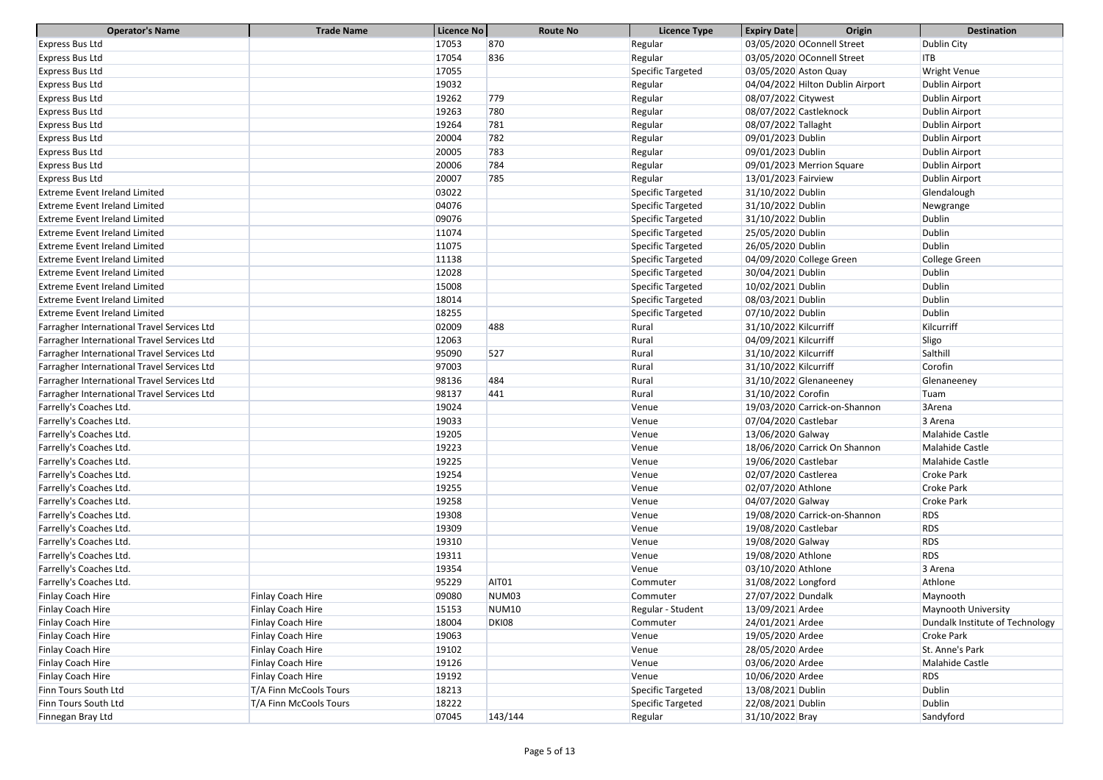| <b>Operator's Name</b>                      | <b>Trade Name</b>      | Licence No | <b>Route No</b>   | <b>Licence Type</b> | <b>Expiry Date</b>     | Origin                           | <b>Destination</b>              |
|---------------------------------------------|------------------------|------------|-------------------|---------------------|------------------------|----------------------------------|---------------------------------|
| <b>Express Bus Ltd</b>                      |                        | 17053      | 870               | Regular             |                        | 03/05/2020 OConnell Street       | Dublin City                     |
| <b>Express Bus Ltd</b>                      |                        | 17054      | 836               | Regular             |                        | 03/05/2020 OConnell Street       | ITB                             |
| <b>Express Bus Ltd</b>                      |                        | 17055      |                   | Specific Targeted   | 03/05/2020 Aston Quay  |                                  | <b>Wright Venue</b>             |
| <b>Express Bus Ltd</b>                      |                        | 19032      |                   | Regular             |                        | 04/04/2022 Hilton Dublin Airport | Dublin Airport                  |
| <b>Express Bus Ltd</b>                      |                        | 19262      | 779               | Regular             | 08/07/2022 Citywest    |                                  | Dublin Airport                  |
| <b>Express Bus Ltd</b>                      |                        | 19263      | 780               | Regular             | 08/07/2022 Castleknock |                                  | Dublin Airport                  |
| <b>Express Bus Ltd</b>                      |                        | 19264      | 781               | Regular             | 08/07/2022 Tallaght    |                                  | Dublin Airport                  |
| <b>Express Bus Ltd</b>                      |                        | 20004      | 782               | Regular             | 09/01/2023 Dublin      |                                  | Dublin Airport                  |
| <b>Express Bus Ltd</b>                      |                        | 20005      | 783               | Regular             | 09/01/2023 Dublin      |                                  | Dublin Airport                  |
| <b>Express Bus Ltd</b>                      |                        | 20006      | 784               | Regular             |                        | 09/01/2023 Merrion Square        | Dublin Airport                  |
| <b>Express Bus Ltd</b>                      |                        | 20007      | 785               | Regular             | 13/01/2023 Fairview    |                                  | Dublin Airport                  |
| <b>Extreme Event Ireland Limited</b>        |                        | 03022      |                   | Specific Targeted   | 31/10/2022 Dublin      |                                  | Glendalough                     |
| <b>Extreme Event Ireland Limited</b>        |                        | 04076      |                   | Specific Targeted   | 31/10/2022 Dublin      |                                  | Newgrange                       |
| <b>Extreme Event Ireland Limited</b>        |                        | 09076      |                   | Specific Targeted   | 31/10/2022 Dublin      |                                  | <b>Dublin</b>                   |
| <b>Extreme Event Ireland Limited</b>        |                        | 11074      |                   | Specific Targeted   | 25/05/2020 Dublin      |                                  | Dublin                          |
| <b>Extreme Event Ireland Limited</b>        |                        | 11075      |                   | Specific Targeted   | 26/05/2020 Dublin      |                                  | <b>Dublin</b>                   |
| <b>Extreme Event Ireland Limited</b>        |                        | 11138      |                   | Specific Targeted   |                        | 04/09/2020 College Green         | College Green                   |
| <b>Extreme Event Ireland Limited</b>        |                        | 12028      |                   | Specific Targeted   | 30/04/2021 Dublin      |                                  | <b>Dublin</b>                   |
| <b>Extreme Event Ireland Limited</b>        |                        | 15008      |                   | Specific Targeted   | 10/02/2021 Dublin      |                                  | Dublin                          |
| <b>Extreme Event Ireland Limited</b>        |                        | 18014      |                   | Specific Targeted   | 08/03/2021 Dublin      |                                  | Dublin                          |
| <b>Extreme Event Ireland Limited</b>        |                        | 18255      |                   | Specific Targeted   | 07/10/2022 Dublin      |                                  | Dublin                          |
| Farragher International Travel Services Ltd |                        | 02009      | 488               | Rural               | 31/10/2022 Kilcurriff  |                                  | Kilcurriff                      |
| Farragher International Travel Services Ltd |                        | 12063      |                   | Rural               | 04/09/2021 Kilcurriff  |                                  | Sligo                           |
| Farragher International Travel Services Ltd |                        | 95090      | 527               | Rural               | 31/10/2022 Kilcurriff  |                                  | Salthill                        |
| Farragher International Travel Services Ltd |                        | 97003      |                   | Rural               | 31/10/2022 Kilcurriff  |                                  | Corofin                         |
| Farragher International Travel Services Ltd |                        | 98136      | 484               | Rural               |                        | 31/10/2022 Glenaneeney           | Glenaneeney                     |
| Farragher International Travel Services Ltd |                        | 98137      | 441               | Rural               | 31/10/2022 Corofin     |                                  | Tuam                            |
| Farrelly's Coaches Ltd.                     |                        | 19024      |                   | Venue               |                        | 19/03/2020 Carrick-on-Shannon    | 3Arena                          |
| Farrelly's Coaches Ltd.                     |                        | 19033      |                   | Venue               | 07/04/2020 Castlebar   |                                  | 3 Arena                         |
| Farrelly's Coaches Ltd.                     |                        | 19205      |                   | Venue               | 13/06/2020 Galway      |                                  | Malahide Castle                 |
| Farrelly's Coaches Ltd.                     |                        | 19223      |                   | Venue               |                        | 18/06/2020 Carrick On Shannon    | Malahide Castle                 |
| Farrelly's Coaches Ltd.                     |                        | 19225      |                   | Venue               | 19/06/2020 Castlebar   |                                  | Malahide Castle                 |
| Farrelly's Coaches Ltd.                     |                        | 19254      |                   | Venue               | 02/07/2020 Castlerea   |                                  | <b>Croke Park</b>               |
| Farrelly's Coaches Ltd.                     |                        | 19255      |                   | Venue               | 02/07/2020 Athlone     |                                  | <b>Croke Park</b>               |
| Farrelly's Coaches Ltd.                     |                        | 19258      |                   | Venue               | 04/07/2020 Galway      |                                  | <b>Croke Park</b>               |
| Farrelly's Coaches Ltd.                     |                        | 19308      |                   | Venue               |                        | 19/08/2020 Carrick-on-Shannon    | <b>RDS</b>                      |
| Farrelly's Coaches Ltd.                     |                        | 19309      |                   | Venue               | 19/08/2020 Castlebar   |                                  | <b>RDS</b>                      |
| Farrelly's Coaches Ltd.                     |                        | 19310      |                   | Venue               | 19/08/2020 Galway      |                                  | <b>RDS</b>                      |
| Farrelly's Coaches Ltd.                     |                        | 19311      |                   | Venue               | 19/08/2020 Athlone     |                                  | <b>RDS</b>                      |
| Farrelly's Coaches Ltd.                     |                        | 19354      |                   | Venue               | 03/10/2020 Athlone     |                                  | 3 Arena                         |
| Farrelly's Coaches Ltd.                     |                        | 95229      | AIT01             | Commuter            | 31/08/2022 Longford    |                                  | Athlone                         |
| Finlay Coach Hire                           | Finlay Coach Hire      | 09080      | NUM <sub>03</sub> | Commuter            | 27/07/2022 Dundalk     |                                  | Maynooth                        |
| Finlay Coach Hire                           | Finlay Coach Hire      | 15153      | <b>NUM10</b>      | Regular - Student   | 13/09/2021 Ardee       |                                  | Maynooth University             |
| Finlay Coach Hire                           | Finlay Coach Hire      | 18004      | <b>DKI08</b>      | Commuter            | 24/01/2021 Ardee       |                                  | Dundalk Institute of Technology |
| Finlay Coach Hire                           | Finlay Coach Hire      | 19063      |                   | Venue               | 19/05/2020 Ardee       |                                  | <b>Croke Park</b>               |
| Finlay Coach Hire                           | Finlay Coach Hire      | 19102      |                   | Venue               | 28/05/2020 Ardee       |                                  | St. Anne's Park                 |
| Finlay Coach Hire                           | Finlay Coach Hire      | 19126      |                   | Venue               | 03/06/2020 Ardee       |                                  | Malahide Castle                 |
| Finlay Coach Hire                           | Finlay Coach Hire      | 19192      |                   | Venue               | 10/06/2020 Ardee       |                                  | <b>RDS</b>                      |
| Finn Tours South Ltd                        | T/A Finn McCools Tours | 18213      |                   | Specific Targeted   | 13/08/2021 Dublin      |                                  | Dublin                          |
| Finn Tours South Ltd                        | T/A Finn McCools Tours | 18222      |                   | Specific Targeted   | 22/08/2021 Dublin      |                                  | <b>Dublin</b>                   |
| Finnegan Bray Ltd                           |                        | 07045      | 143/144           | Regular             | 31/10/2022 Bray        |                                  | Sandyford                       |
|                                             |                        |            |                   |                     |                        |                                  |                                 |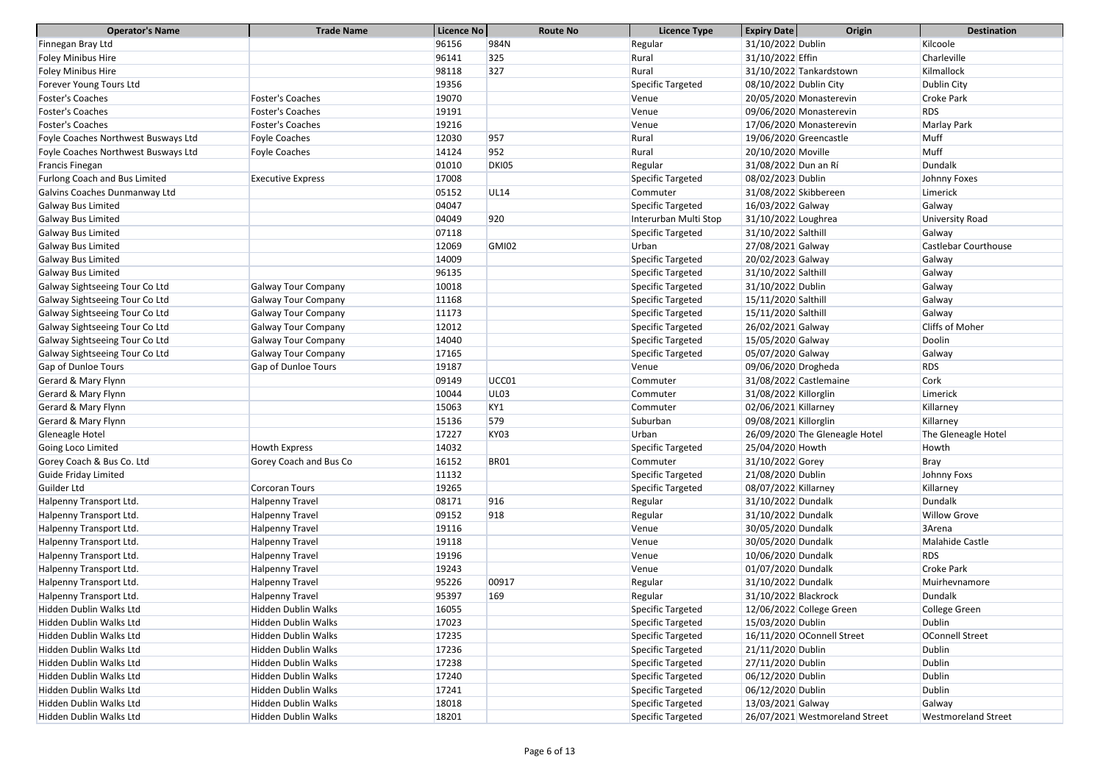| <b>Operator's Name</b>               | <b>Trade Name</b>          | Licence No | <b>Route No</b>  | <b>Licence Type</b>   | <b>Expiry Date</b>     | Origin                         | <b>Destination</b>          |
|--------------------------------------|----------------------------|------------|------------------|-----------------------|------------------------|--------------------------------|-----------------------------|
| Finnegan Bray Ltd                    |                            | 96156      | 984N             | Regular               | 31/10/2022 Dublin      |                                | Kilcoole                    |
| <b>Foley Minibus Hire</b>            |                            | 96141      | 325              | Rural                 | 31/10/2022 Effin       |                                | Charleville                 |
| <b>Foley Minibus Hire</b>            |                            | 98118      | 327              | Rural                 |                        | 31/10/2022 Tankardstown        | Kilmallock                  |
| Forever Young Tours Ltd              |                            | 19356      |                  | Specific Targeted     | 08/10/2022 Dublin City |                                | Dublin City                 |
| Foster's Coaches                     | <b>Foster's Coaches</b>    | 19070      |                  | Venue                 |                        | 20/05/2020 Monasterevin        | <b>Croke Park</b>           |
| <b>Foster's Coaches</b>              | <b>Foster's Coaches</b>    | 19191      |                  | Venue                 |                        | 09/06/2020 Monasterevin        | <b>RDS</b>                  |
| <b>Foster's Coaches</b>              | <b>Foster's Coaches</b>    | 19216      |                  | Venue                 |                        | 17/06/2020 Monasterevin        | Marlay Park                 |
| Foyle Coaches Northwest Busways Ltd  | Foyle Coaches              | 12030      | 957              | Rural                 |                        | 19/06/2020 Greencastle         | Muff                        |
| Foyle Coaches Northwest Busways Ltd  | <b>Foyle Coaches</b>       | 14124      | 952              | Rural                 | 20/10/2020 Moville     |                                | Muff                        |
| Francis Finegan                      |                            | 01010      | DKI05            | Regular               | 31/08/2022 Dun an Rí   |                                | Dundalk                     |
| <b>Furlong Coach and Bus Limited</b> | <b>Executive Express</b>   | 17008      |                  | Specific Targeted     | 08/02/2023 Dublin      |                                | Johnny Foxes                |
| Galvins Coaches Dunmanway Ltd        |                            | 05152      | <b>UL14</b>      | Commuter              | 31/08/2022 Skibbereen  |                                | Limerick                    |
| Galway Bus Limited                   |                            | 04047      |                  | Specific Targeted     | 16/03/2022 Galway      |                                | Galway                      |
| <b>Galway Bus Limited</b>            |                            | 04049      | 920              | Interurban Multi Stop | 31/10/2022 Loughrea    |                                | University Road             |
| <b>Galway Bus Limited</b>            |                            | 07118      |                  | Specific Targeted     | 31/10/2022 Salthill    |                                | Galway                      |
| <b>Galway Bus Limited</b>            |                            | 12069      | <b>GMI02</b>     | Urban                 | 27/08/2021 Galway      |                                | <b>Castlebar Courthouse</b> |
| Galway Bus Limited                   |                            | 14009      |                  | Specific Targeted     | 20/02/2023 Galway      |                                | Galway                      |
| <b>Galway Bus Limited</b>            |                            | 96135      |                  | Specific Targeted     | 31/10/2022 Salthill    |                                | Galway                      |
| Galway Sightseeing Tour Co Ltd       | <b>Galway Tour Company</b> | 10018      |                  | Specific Targeted     | 31/10/2022 Dublin      |                                | Galway                      |
| Galway Sightseeing Tour Co Ltd       | <b>Galway Tour Company</b> | 11168      |                  | Specific Targeted     | 15/11/2020 Salthill    |                                | Galway                      |
| Galway Sightseeing Tour Co Ltd       | <b>Galway Tour Company</b> | 11173      |                  | Specific Targeted     | 15/11/2020 Salthill    |                                | Galway                      |
| Galway Sightseeing Tour Co Ltd       | <b>Galway Tour Company</b> | 12012      |                  | Specific Targeted     | 26/02/2021 Galway      |                                | <b>Cliffs of Moher</b>      |
| Galway Sightseeing Tour Co Ltd       | <b>Galway Tour Company</b> | 14040      |                  | Specific Targeted     | 15/05/2020 Galway      |                                | Doolin                      |
| Galway Sightseeing Tour Co Ltd       | <b>Galway Tour Company</b> | 17165      |                  | Specific Targeted     | 05/07/2020 Galway      |                                | Galway                      |
| Gap of Dunloe Tours                  | Gap of Dunloe Tours        | 19187      |                  | Venue                 | 09/06/2020 Drogheda    |                                | <b>RDS</b>                  |
| Gerard & Mary Flynn                  |                            | 09149      | UCC01            | Commuter              |                        | 31/08/2022 Castlemaine         | Cork                        |
| Gerard & Mary Flynn                  |                            | 10044      | UL <sub>03</sub> | Commuter              | 31/08/2022 Killorglin  |                                | Limerick                    |
| Gerard & Mary Flynn                  |                            | 15063      | KY1              | Commuter              | 02/06/2021 Killarney   |                                | Killarney                   |
| Gerard & Mary Flynn                  |                            | 15136      | 579              | Suburban              | 09/08/2021 Killorglin  |                                | Killarney                   |
| Gleneagle Hotel                      |                            | 17227      | KY03             | Urban                 |                        | 26/09/2020 The Gleneagle Hotel | The Gleneagle Hotel         |
| Going Loco Limited                   | Howth Express              | 14032      |                  | Specific Targeted     | 25/04/2020 Howth       |                                | <b>Howth</b>                |
| Gorey Coach & Bus Co. Ltd            | Gorey Coach and Bus Co     | 16152      | <b>BR01</b>      | Commuter              | 31/10/2022 Gorey       |                                | <b>Bray</b>                 |
| <b>Guide Friday Limited</b>          |                            | 11132      |                  | Specific Targeted     | 21/08/2020 Dublin      |                                | Johnny Foxs                 |
| Guilder Ltd                          | Corcoran Tours             | 19265      |                  | Specific Targeted     | 08/07/2022 Killarney   |                                | Killarney                   |
| Halpenny Transport Ltd.              | <b>Halpenny Travel</b>     | 08171      | 916              | Regular               | 31/10/2022 Dundalk     |                                | Dundalk                     |
| Halpenny Transport Ltd.              | Halpenny Travel            | 09152      | 918              | Regular               | 31/10/2022 Dundalk     |                                | <b>Willow Grove</b>         |
| Halpenny Transport Ltd.              | Halpenny Travel            | 19116      |                  | Venue                 | 30/05/2020 Dundalk     |                                | 3Arena                      |
| Halpenny Transport Ltd.              | Halpenny Travel            | 19118      |                  | Venue                 | 30/05/2020 Dundalk     |                                | Malahide Castle             |
| Halpenny Transport Ltd.              | Halpenny Travel            | 19196      |                  | Venue                 | 10/06/2020 Dundalk     |                                | <b>RDS</b>                  |
| Halpenny Transport Ltd.              | Halpenny Travel            | 19243      |                  | Venue                 | 01/07/2020 Dundalk     |                                | <b>Croke Park</b>           |
| Halpenny Transport Ltd.              | Halpenny Travel            | 95226      | 00917            | Regular               | 31/10/2022 Dundalk     |                                | Muirhevnamore               |
| Halpenny Transport Ltd.              | Halpenny Travel            | 95397      | 169              | Regular               | 31/10/2022 Blackrock   |                                | Dundalk                     |
| Hidden Dublin Walks Ltd              | Hidden Dublin Walks        | 16055      |                  | Specific Targeted     |                        | 12/06/2022 College Green       | College Green               |
| Hidden Dublin Walks Ltd              | Hidden Dublin Walks        | 17023      |                  | Specific Targeted     | 15/03/2020 Dublin      |                                | <b>Dublin</b>               |
| Hidden Dublin Walks Ltd              | Hidden Dublin Walks        | 17235      |                  | Specific Targeted     |                        | 16/11/2020 OConnell Street     | OConnell Street             |
| Hidden Dublin Walks Ltd              | Hidden Dublin Walks        | 17236      |                  | Specific Targeted     | 21/11/2020 Dublin      |                                | <b>Dublin</b>               |
| Hidden Dublin Walks Ltd              | <b>Hidden Dublin Walks</b> | 17238      |                  | Specific Targeted     | 27/11/2020 Dublin      |                                | <b>Dublin</b>               |
| Hidden Dublin Walks Ltd              | <b>Hidden Dublin Walks</b> | 17240      |                  | Specific Targeted     | 06/12/2020 Dublin      |                                | <b>Dublin</b>               |
| Hidden Dublin Walks Ltd              | Hidden Dublin Walks        | 17241      |                  | Specific Targeted     | 06/12/2020 Dublin      |                                | <b>Dublin</b>               |
| Hidden Dublin Walks Ltd              | Hidden Dublin Walks        | 18018      |                  | Specific Targeted     | 13/03/2021 Galway      |                                | Galway                      |
| Hidden Dublin Walks Ltd              | Hidden Dublin Walks        | 18201      |                  | Specific Targeted     |                        | 26/07/2021 Westmoreland Street | <b>Westmoreland Street</b>  |
|                                      |                            |            |                  |                       |                        |                                |                             |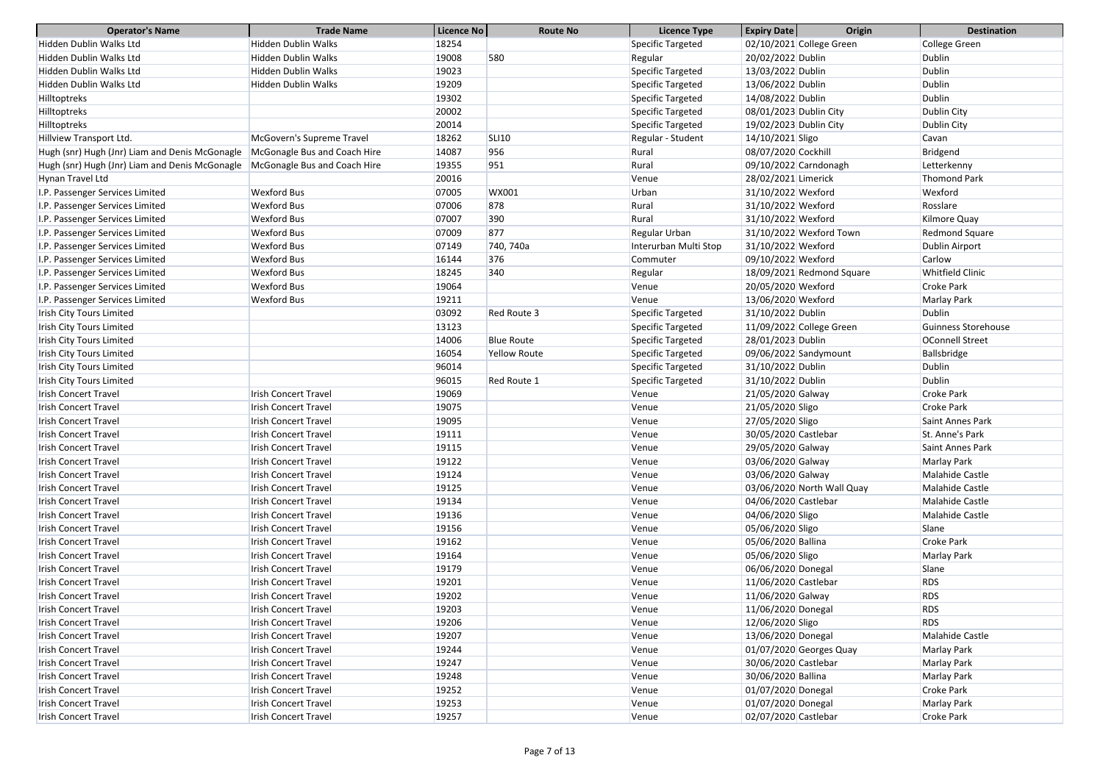| <b>Operator's Name</b>                         | <b>Trade Name</b>            | Licence No     | <b>Route No</b>     | <b>Licence Type</b>                    | <b>Expiry Date</b>       | <b>Origin</b>              | <b>Destination</b>                  |
|------------------------------------------------|------------------------------|----------------|---------------------|----------------------------------------|--------------------------|----------------------------|-------------------------------------|
| Hidden Dublin Walks Ltd                        | <b>Hidden Dublin Walks</b>   | 18254          |                     | Specific Targeted                      | 02/10/2021 College Green |                            | College Green                       |
| Hidden Dublin Walks Ltd                        | <b>Hidden Dublin Walks</b>   | 19008          | 580                 | Regular                                | 20/02/2022 Dublin        |                            | Dublin                              |
| Hidden Dublin Walks Ltd                        | <b>Hidden Dublin Walks</b>   | 19023          |                     | Specific Targeted                      | 13/03/2022 Dublin        |                            | <b>Dublin</b>                       |
| Hidden Dublin Walks Ltd                        | <b>Hidden Dublin Walks</b>   | 19209          |                     | Specific Targeted                      | 13/06/2022 Dublin        |                            | <b>Dublin</b>                       |
| Hilltoptreks                                   |                              | 19302          |                     | Specific Targeted                      | 14/08/2022 Dublin        |                            | <b>Dublin</b>                       |
| Hilltoptreks                                   |                              | 20002          |                     | Specific Targeted                      | 08/01/2023 Dublin City   |                            | Dublin City                         |
| Hilltoptreks                                   |                              | 20014          |                     | Specific Targeted                      | 19/02/2023 Dublin City   |                            | Dublin City                         |
| Hillview Transport Ltd.                        | McGovern's Supreme Travel    | 18262          | <b>SLI10</b>        | Regular - Student                      | 14/10/2021 Sligo         |                            | Cavan                               |
| Hugh (snr) Hugh (Jnr) Liam and Denis McGonagle | McGonagle Bus and Coach Hire | 14087          | 956                 | Rural                                  | 08/07/2020 Cockhill      |                            | Bridgend                            |
| Hugh (snr) Hugh (Jnr) Liam and Denis McGonagle | McGonagle Bus and Coach Hire | 19355          | 951                 | Rural                                  | 09/10/2022 Carndonagh    |                            | Letterkenny                         |
| Hynan Travel Ltd                               |                              | 20016          |                     | Venue                                  | 28/02/2021 Limerick      |                            | <b>Thomond Park</b>                 |
| I.P. Passenger Services Limited                | <b>Wexford Bus</b>           | 07005          | WX001               | Urban                                  | 31/10/2022 Wexford       |                            | Wexford                             |
| I.P. Passenger Services Limited                | <b>Wexford Bus</b>           | 07006          | 878                 | Rural                                  | 31/10/2022 Wexford       |                            | Rosslare                            |
| I.P. Passenger Services Limited                | <b>Wexford Bus</b>           | 07007          | 390                 | Rural                                  | 31/10/2022 Wexford       |                            | Kilmore Quay                        |
| I.P. Passenger Services Limited                | <b>Wexford Bus</b>           | 07009          | 877                 | Regular Urban                          | 31/10/2022 Wexford Town  |                            | Redmond Square                      |
| I.P. Passenger Services Limited                | <b>Wexford Bus</b>           | 07149          | 740, 740a           | Interurban Multi Stop                  | 31/10/2022 Wexford       |                            | Dublin Airport                      |
| I.P. Passenger Services Limited                | <b>Wexford Bus</b>           | 16144          | 376                 | Commuter                               | 09/10/2022 Wexford       |                            | Carlow                              |
| I.P. Passenger Services Limited                | <b>Wexford Bus</b>           | 18245          | 340                 | Regular                                |                          | 18/09/2021 Redmond Square  | Whitfield Clinic                    |
| I.P. Passenger Services Limited                | <b>Wexford Bus</b>           | 19064          |                     | Venue                                  | 20/05/2020 Wexford       |                            | <b>Croke Park</b>                   |
| I.P. Passenger Services Limited                | <b>Wexford Bus</b>           | 19211          |                     | Venue                                  | 13/06/2020 Wexford       |                            | Marlay Park                         |
| Irish City Tours Limited                       |                              | 03092          | Red Route 3         | Specific Targeted                      | 31/10/2022 Dublin        |                            | <b>Dublin</b>                       |
| Irish City Tours Limited                       |                              | 13123          |                     |                                        | 11/09/2022 College Green |                            | Guinness Storehouse                 |
| Irish City Tours Limited                       |                              | 14006          | <b>Blue Route</b>   | Specific Targeted<br>Specific Targeted | 28/01/2023 Dublin        |                            | <b>OConnell Street</b>              |
| <b>Irish City Tours Limited</b>                |                              | 16054          | <b>Yellow Route</b> | Specific Targeted                      | 09/06/2022 Sandymount    |                            | Ballsbridge                         |
| Irish City Tours Limited                       |                              | 96014          |                     | Specific Targeted                      | 31/10/2022 Dublin        |                            | <b>Dublin</b>                       |
| Irish City Tours Limited                       |                              | 96015          | Red Route 1         | Specific Targeted                      | 31/10/2022 Dublin        |                            | <b>Dublin</b>                       |
| <b>Irish Concert Travel</b>                    | <b>Irish Concert Travel</b>  | 19069          |                     |                                        | 21/05/2020 Galway        |                            | <b>Croke Park</b>                   |
| <b>Irish Concert Travel</b>                    | <b>Irish Concert Travel</b>  | 19075          |                     | Venue                                  |                          |                            | <b>Croke Park</b>                   |
|                                                | <b>Irish Concert Travel</b>  |                |                     | Venue                                  | 21/05/2020 Sligo         |                            |                                     |
| <b>Irish Concert Travel</b>                    | <b>Irish Concert Travel</b>  | 19095<br>19111 |                     | Venue                                  | 27/05/2020 Sligo         |                            | Saint Annes Park<br>St. Anne's Park |
| <b>Irish Concert Travel</b>                    |                              |                |                     | Venue                                  | 30/05/2020 Castlebar     |                            |                                     |
| <b>Irish Concert Travel</b>                    | <b>Irish Concert Travel</b>  | 19115          |                     | Venue                                  | 29/05/2020 Galway        |                            | Saint Annes Park                    |
| <b>Irish Concert Travel</b>                    | <b>Irish Concert Travel</b>  | 19122          |                     | Venue                                  | 03/06/2020 Galway        |                            | Marlay Park                         |
| <b>Irish Concert Travel</b>                    | <b>Irish Concert Travel</b>  | 19124          |                     | Venue                                  | 03/06/2020 Galway        |                            | Malahide Castle<br>Malahide Castle  |
| <b>Irish Concert Travel</b>                    | <b>Irish Concert Travel</b>  | 19125          |                     | Venue                                  |                          | 03/06/2020 North Wall Quay |                                     |
| <b>Irish Concert Travel</b>                    | <b>Irish Concert Travel</b>  | 19134          |                     | Venue                                  | 04/06/2020 Castlebar     |                            | Malahide Castle                     |
| Irish Concert Travel                           | <b>Irish Concert Travel</b>  | 19136          |                     | Venue                                  | 04/06/2020 Sligo         |                            | <b>Malahide Castle</b>              |
| <b>Irish Concert Travel</b>                    | <b>Irish Concert Travel</b>  | 19156          |                     | Venue                                  | 05/06/2020 Sligo         |                            | Slane                               |
| <b>Irish Concert Travel</b>                    | <b>Irish Concert Travel</b>  | 19162          |                     | Venue                                  | 05/06/2020 Ballina       |                            | <b>Croke Park</b>                   |
| <b>Irish Concert Travel</b>                    | <b>Irish Concert Travel</b>  | 19164          |                     | Venue                                  | 05/06/2020 Sligo         |                            | Marlay Park                         |
| <b>Irish Concert Travel</b>                    | <b>Irish Concert Travel</b>  | 19179          |                     | Venue                                  | 06/06/2020 Donegal       |                            | Slane                               |
| Irish Concert Travel                           | <b>Irish Concert Travel</b>  | 19201          |                     | Venue                                  | 11/06/2020 Castlebar     |                            | <b>RDS</b>                          |
| <b>Irish Concert Travel</b>                    | <b>Irish Concert Travel</b>  | 19202          |                     | Venue                                  | 11/06/2020 Galway        |                            | <b>RDS</b>                          |
| <b>Irish Concert Travel</b>                    | <b>Irish Concert Travel</b>  | 19203          |                     | Venue                                  | 11/06/2020 Donegal       |                            | <b>RDS</b>                          |
| <b>Irish Concert Travel</b>                    | <b>Irish Concert Travel</b>  | 19206          |                     | Venue                                  | 12/06/2020 Sligo         |                            | <b>RDS</b>                          |
| <b>Irish Concert Travel</b>                    | <b>Irish Concert Travel</b>  | 19207          |                     | Venue                                  | 13/06/2020 Donegal       |                            | Malahide Castle                     |
| <b>Irish Concert Travel</b>                    | <b>Irish Concert Travel</b>  | 19244          |                     | Venue                                  | 01/07/2020 Georges Quay  |                            | Marlay Park                         |
| <b>Irish Concert Travel</b>                    | Irish Concert Travel         | 19247          |                     | Venue                                  | 30/06/2020 Castlebar     |                            | Marlay Park                         |
| <b>Irish Concert Travel</b>                    | <b>Irish Concert Travel</b>  | 19248          |                     | Venue                                  | 30/06/2020 Ballina       |                            | Marlay Park                         |
| <b>Irish Concert Travel</b>                    | <b>Irish Concert Travel</b>  | 19252          |                     | Venue                                  | 01/07/2020 Donegal       |                            | Croke Park                          |
| <b>Irish Concert Travel</b>                    | <b>Irish Concert Travel</b>  | 19253          |                     | Venue                                  | 01/07/2020 Donegal       |                            | Marlay Park                         |
| <b>Irish Concert Travel</b>                    | <b>Irish Concert Travel</b>  | 19257          |                     | Venue                                  | 02/07/2020 Castlebar     |                            | <b>Croke Park</b>                   |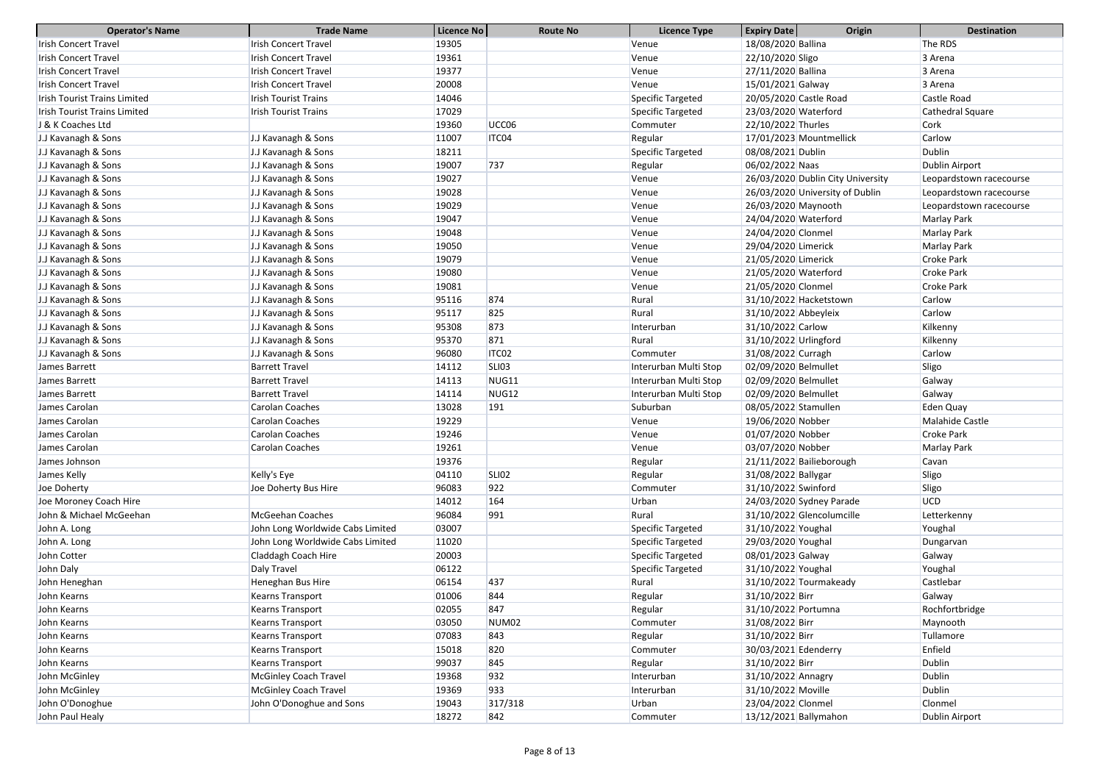| <b>Operator's Name</b>              | <b>Trade Name</b>                | Licence No | <b>Route No</b>   | <b>Licence Type</b>   | <b>Expiry Date</b>     | Origin                            | <b>Destination</b>      |
|-------------------------------------|----------------------------------|------------|-------------------|-----------------------|------------------------|-----------------------------------|-------------------------|
| <b>Irish Concert Travel</b>         | <b>Irish Concert Travel</b>      | 19305      |                   | Venue                 | 18/08/2020 Ballina     |                                   | The RDS                 |
| <b>Irish Concert Travel</b>         | <b>Irish Concert Travel</b>      | 19361      |                   | Venue                 | 22/10/2020 Sligo       |                                   | 3 Arena                 |
| <b>Irish Concert Travel</b>         | <b>Irish Concert Travel</b>      | 19377      |                   | Venue                 | 27/11/2020 Ballina     |                                   | 3 Arena                 |
| <b>Irish Concert Travel</b>         | <b>Irish Concert Travel</b>      | 20008      |                   | Venue                 | 15/01/2021 Galway      |                                   | 3 Arena                 |
| <b>Irish Tourist Trains Limited</b> | <b>Irish Tourist Trains</b>      | 14046      |                   | Specific Targeted     | 20/05/2020 Castle Road |                                   | Castle Road             |
| <b>Irish Tourist Trains Limited</b> | <b>Irish Tourist Trains</b>      | 17029      |                   | Specific Targeted     | 23/03/2020 Waterford   |                                   | Cathedral Square        |
| J & K Coaches Ltd                   |                                  | 19360      | UCC06             | Commuter              | 22/10/2022 Thurles     |                                   | Cork                    |
| J.J Kavanagh & Sons                 | J.J Kavanagh & Sons              | 11007      | ITC04             | Regular               |                        | 17/01/2023 Mountmellick           | Carlow                  |
| J.J Kavanagh & Sons                 | J.J Kavanagh & Sons              | 18211      |                   | Specific Targeted     | 08/08/2021 Dublin      |                                   | <b>Dublin</b>           |
| J.J Kavanagh & Sons                 | J.J Kavanagh & Sons              | 19007      | 737               | Regular               | 06/02/2022 Naas        |                                   | Dublin Airport          |
| J.J Kavanagh & Sons                 | J.J Kavanagh & Sons              | 19027      |                   | Venue                 |                        | 26/03/2020 Dublin City University | Leopardstown racecourse |
| J.J Kavanagh & Sons                 | J.J Kavanagh & Sons              | 19028      |                   | Venue                 |                        | 26/03/2020 University of Dublin   | Leopardstown racecourse |
| J.J Kavanagh & Sons                 | J.J Kavanagh & Sons              | 19029      |                   | Venue                 | 26/03/2020 Maynooth    |                                   | Leopardstown racecourse |
| J.J Kavanagh & Sons                 | J.J Kavanagh & Sons              | 19047      |                   | Venue                 | 24/04/2020 Waterford   |                                   | Marlay Park             |
| J.J Kavanagh & Sons                 | J.J Kavanagh & Sons              | 19048      |                   | Venue                 | 24/04/2020 Clonmel     |                                   | Marlay Park             |
| J.J Kavanagh & Sons                 | J.J Kavanagh & Sons              | 19050      |                   | Venue                 | 29/04/2020 Limerick    |                                   | Marlay Park             |
| J.J Kavanagh & Sons                 | J.J Kavanagh & Sons              | 19079      |                   | Venue                 | 21/05/2020 Limerick    |                                   | <b>Croke Park</b>       |
| J.J Kavanagh & Sons                 | J.J Kavanagh & Sons              | 19080      |                   | Venue                 | 21/05/2020 Waterford   |                                   | <b>Croke Park</b>       |
| J.J Kavanagh & Sons                 | J.J Kavanagh & Sons              | 19081      |                   | Venue                 | 21/05/2020 Clonmel     |                                   | <b>Croke Park</b>       |
| J.J Kavanagh & Sons                 | J.J Kavanagh & Sons              | 95116      | 874               | Rural                 |                        | 31/10/2022 Hacketstown            | Carlow                  |
| J.J Kavanagh & Sons                 | J.J Kavanagh & Sons              | 95117      | 825               | Rural                 | 31/10/2022 Abbeyleix   |                                   | Carlow                  |
| J.J Kavanagh & Sons                 | J.J Kavanagh & Sons              | 95308      | 873               | Interurban            | 31/10/2022 Carlow      |                                   | Kilkenny                |
| J.J Kavanagh & Sons                 | J.J Kavanagh & Sons              | 95370      | 871               | Rural                 | 31/10/2022 Urlingford  |                                   | Kilkenny                |
| J.J Kavanagh & Sons                 | J.J Kavanagh & Sons              | 96080      | ITC02             | Commuter              | 31/08/2022 Curragh     |                                   | Carlow                  |
| James Barrett                       | <b>Barrett Travel</b>            | 14112      | <b>SLI03</b>      | Interurban Multi Stop | 02/09/2020 Belmullet   |                                   | Sligo                   |
| James Barrett                       | <b>Barrett Travel</b>            | 14113      | NUG11             | Interurban Multi Stop | 02/09/2020 Belmullet   |                                   | Galway                  |
| James Barrett                       | <b>Barrett Travel</b>            | 14114      | NUG12             | Interurban Multi Stop | 02/09/2020 Belmullet   |                                   | Galway                  |
| James Carolan                       | Carolan Coaches                  | 13028      | 191               | Suburban              | 08/05/2022 Stamullen   |                                   | Eden Quay               |
| James Carolan                       | <b>Carolan Coaches</b>           | 19229      |                   | Venue                 | 19/06/2020 Nobber      |                                   | Malahide Castle         |
| James Carolan                       | Carolan Coaches                  | 19246      |                   | Venue                 | 01/07/2020 Nobber      |                                   | <b>Croke Park</b>       |
| James Carolan                       | Carolan Coaches                  | 19261      |                   | Venue                 | 03/07/2020 Nobber      |                                   | Marlay Park             |
| James Johnson                       |                                  | 19376      |                   | Regular               |                        | 21/11/2022 Bailieborough          | Cavan                   |
| James Kelly                         | Kelly's Eye                      | 04110      | <b>SLI02</b>      | Regular               | 31/08/2022 Ballygar    |                                   | Sligo                   |
| Joe Doherty                         | Joe Doherty Bus Hire             | 96083      | 922               | Commuter              | 31/10/2022 Swinford    |                                   | Sligo                   |
| Joe Moroney Coach Hire              |                                  | 14012      | 164               | Urban                 |                        | 24/03/2020 Sydney Parade          | <b>UCD</b>              |
| John & Michael McGeehan             | McGeehan Coaches                 | 96084      | 991               | Rural                 |                        | 31/10/2022 Glencolumcille         | Letterkenny             |
| John A. Long                        | John Long Worldwide Cabs Limited | 03007      |                   | Specific Targeted     | 31/10/2022 Youghal     |                                   | Youghal                 |
| John A. Long                        | John Long Worldwide Cabs Limited | 11020      |                   | Specific Targeted     | 29/03/2020 Youghal     |                                   | Dungarvan               |
| John Cotter                         | Claddagh Coach Hire              | 20003      |                   | Specific Targeted     | 08/01/2023 Galway      |                                   | Galway                  |
| John Daly                           | Daly Travel                      | 06122      |                   | Specific Targeted     | 31/10/2022 Youghal     |                                   | Youghal                 |
| John Heneghan                       | Heneghan Bus Hire                | 06154      | 437               | Rural                 |                        | 31/10/2022 Tourmakeady            | Castlebar               |
| John Kearns                         | <b>Kearns Transport</b>          | 01006      | 844               | Regular               | 31/10/2022 Birr        |                                   | Galway                  |
| John Kearns                         | <b>Kearns Transport</b>          | 02055      | 847               | Regular               | 31/10/2022 Portumna    |                                   | Rochfortbridge          |
| John Kearns                         | <b>Kearns Transport</b>          | 03050      | NUM <sub>02</sub> | Commuter              | 31/08/2022 Birr        |                                   | Maynooth                |
| John Kearns                         | Kearns Transport                 | 07083      | 843               | Regular               | 31/10/2022 Birr        |                                   | Tullamore               |
| John Kearns                         | Kearns Transport                 | 15018      | 820               | Commuter              | 30/03/2021 Edenderry   |                                   | Enfield                 |
| John Kearns                         | Kearns Transport                 | 99037      | 845               | Regular               | 31/10/2022 Birr        |                                   | <b>Dublin</b>           |
| John McGinley                       | <b>McGinley Coach Travel</b>     | 19368      | 932               | Interurban            | 31/10/2022 Annagry     |                                   | <b>Dublin</b>           |
| John McGinley                       | <b>McGinley Coach Travel</b>     | 19369      | 933               | Interurban            | 31/10/2022 Moville     |                                   | <b>Dublin</b>           |
| John O'Donoghue                     | John O'Donoghue and Sons         | 19043      | 317/318           | Urban                 | 23/04/2022 Clonmel     |                                   | Clonmel                 |
|                                     |                                  |            |                   |                       |                        |                                   |                         |
| John Paul Healy                     |                                  | 18272      | 842               | Commuter              | 13/12/2021 Ballymahon  |                                   | Dublin Airport          |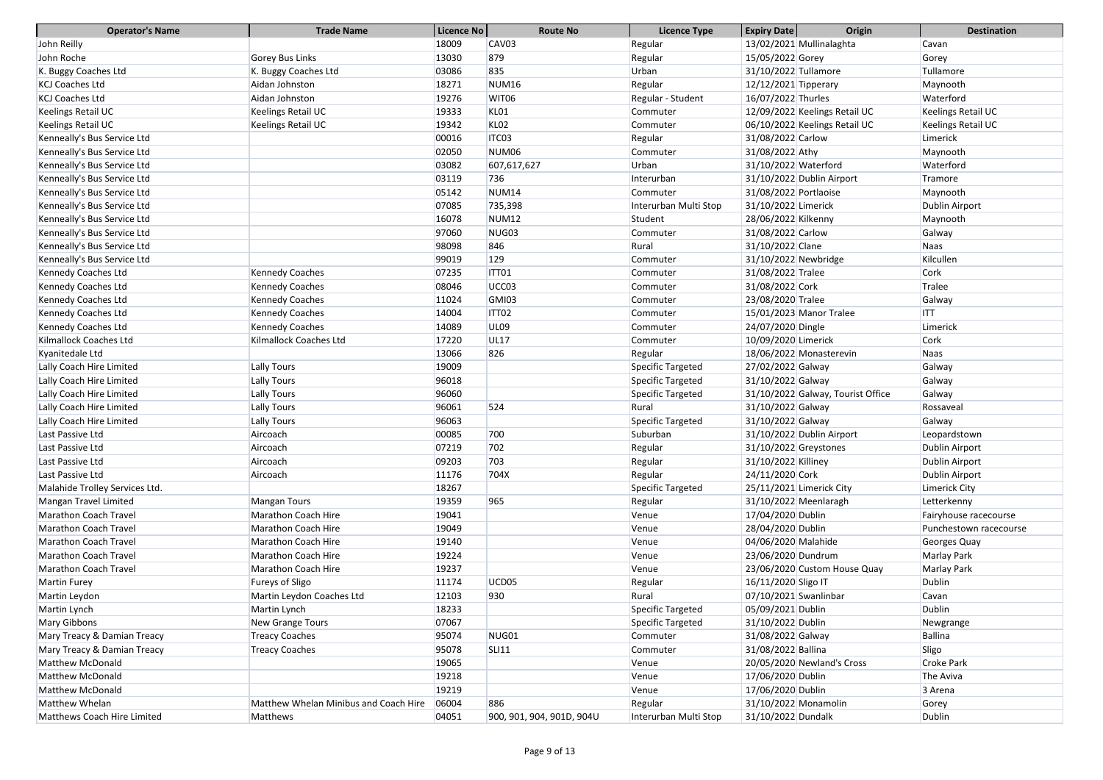| <b>Operator's Name</b>         | <b>Trade Name</b>                     | Licence No | <b>Route No</b>           | <b>Licence Type</b>   | <b>Expiry Date</b><br>Origin      | <b>Destination</b>     |
|--------------------------------|---------------------------------------|------------|---------------------------|-----------------------|-----------------------------------|------------------------|
| John Reilly                    |                                       | 18009      | CAV <sub>03</sub>         | Regular               | 13/02/2021 Mullinalaghta          | Cavan                  |
| John Roche                     | Gorey Bus Links                       | 13030      | 879                       | Regular               | 15/05/2022 Gorey                  | Gorey                  |
| K. Buggy Coaches Ltd           | K. Buggy Coaches Ltd                  | 03086      | 835                       | Urban                 | 31/10/2022 Tullamore              | Tullamore              |
| <b>KCJ Coaches Ltd</b>         | Aidan Johnston                        | 18271      | <b>NUM16</b>              | Regular               | 12/12/2021 Tipperary              | Maynooth               |
| <b>KCJ Coaches Ltd</b>         | Aidan Johnston                        | 19276      | WIT06                     | Regular - Student     | 16/07/2022 Thurles                | Waterford              |
| Keelings Retail UC             | Keelings Retail UC                    | 19333      | KLO1                      | Commuter              | 12/09/2022 Keelings Retail UC     | Keelings Retail UC     |
| Keelings Retail UC             | Keelings Retail UC                    | 19342      | <b>KL02</b>               | Commuter              | 06/10/2022 Keelings Retail UC     | Keelings Retail UC     |
| Kenneally's Bus Service Ltd    |                                       | 00016      | ITC03                     | Regular               | 31/08/2022 Carlow                 | Limerick               |
| Kenneally's Bus Service Ltd    |                                       | 02050      | NUM <sub>06</sub>         | Commuter              | 31/08/2022 Athy                   | Maynooth               |
| Kenneally's Bus Service Ltd    |                                       | 03082      | 607,617,627               | Urban                 | 31/10/2022 Waterford              | Waterford              |
| Kenneally's Bus Service Ltd    |                                       | 03119      | 736                       | Interurban            | 31/10/2022 Dublin Airport         | Tramore                |
| Kenneally's Bus Service Ltd    |                                       | 05142      | <b>NUM14</b>              | Commuter              | 31/08/2022 Portlaoise             | Maynooth               |
| Kenneally's Bus Service Ltd    |                                       | 07085      | 735,398                   | Interurban Multi Stop | 31/10/2022 Limerick               | <b>Dublin Airport</b>  |
| Kenneally's Bus Service Ltd    |                                       | 16078      | <b>NUM12</b>              | Student               | 28/06/2022 Kilkenny               | Maynooth               |
| Kenneally's Bus Service Ltd    |                                       | 97060      | NUG03                     | Commuter              | 31/08/2022 Carlow                 | Galway                 |
| Kenneally's Bus Service Ltd    |                                       | 98098      | 846                       | Rural                 | 31/10/2022 Clane                  | Naas                   |
| Kenneally's Bus Service Ltd    |                                       | 99019      | 129                       | Commuter              | 31/10/2022 Newbridge              | Kilcullen              |
| Kennedy Coaches Ltd            | <b>Kennedy Coaches</b>                | 07235      | ITT01                     | Commuter              | 31/08/2022 Tralee                 | Cork                   |
| Kennedy Coaches Ltd            | <b>Kennedy Coaches</b>                | 08046      | UCC <sub>03</sub>         | Commuter              | 31/08/2022 Cork                   | Tralee                 |
| Kennedy Coaches Ltd            | <b>Kennedy Coaches</b>                | 11024      | GMI03                     | Commuter              | 23/08/2020 Tralee                 | Galway                 |
| Kennedy Coaches Ltd            | <b>Kennedy Coaches</b>                | 14004      | ITT02                     | Commuter              | 15/01/2023 Manor Tralee           | <b>ITT</b>             |
| Kennedy Coaches Ltd            | <b>Kennedy Coaches</b>                | 14089      | <b>UL09</b>               | Commuter              | 24/07/2020 Dingle                 | Limerick               |
| Kilmallock Coaches Ltd         | Kilmallock Coaches Ltd                | 17220      | <b>UL17</b>               | Commuter              | 10/09/2020 Limerick               | Cork                   |
| Kyanitedale Ltd                |                                       | 13066      | 826                       | Regular               | 18/06/2022 Monasterevin           | <b>Naas</b>            |
| Lally Coach Hire Limited       | Lally Tours                           | 19009      |                           | Specific Targeted     | 27/02/2022 Galway                 | Galway                 |
| Lally Coach Hire Limited       | Lally Tours                           | 96018      |                           | Specific Targeted     | 31/10/2022 Galway                 | Galway                 |
| Lally Coach Hire Limited       | Lally Tours                           | 96060      |                           | Specific Targeted     | 31/10/2022 Galway, Tourist Office | Galway                 |
| Lally Coach Hire Limited       | Lally Tours                           | 96061      | 524                       | Rural                 | 31/10/2022 Galway                 | Rossaveal              |
| Lally Coach Hire Limited       | Lally Tours                           | 96063      |                           | Specific Targeted     | 31/10/2022 Galway                 | Galway                 |
| Last Passive Ltd               | Aircoach                              | 00085      | 700                       | Suburban              | 31/10/2022 Dublin Airport         | Leopardstown           |
| Last Passive Ltd               | Aircoach                              | 07219      | 702                       | Regular               | 31/10/2022 Greystones             | Dublin Airport         |
| Last Passive Ltd               | Aircoach                              | 09203      | 703                       | Regular               | 31/10/2022 Killiney               | <b>Dublin Airport</b>  |
| Last Passive Ltd               | Aircoach                              | 11176      | 704X                      | Regular               | 24/11/2020 Cork                   | <b>Dublin Airport</b>  |
| Malahide Trolley Services Ltd. |                                       | 18267      |                           | Specific Targeted     | 25/11/2021 Limerick City          | Limerick City          |
| Mangan Travel Limited          | <b>Mangan Tours</b>                   | 19359      | 965                       | Regular               | 31/10/2022 Meenlaragh             | Letterkenny            |
| <b>Marathon Coach Travel</b>   | Marathon Coach Hire                   | 19041      |                           | Venue                 | 17/04/2020 Dublin                 | Fairyhouse racecourse  |
| <b>Marathon Coach Travel</b>   | Marathon Coach Hire                   | 19049      |                           | Venue                 | 28/04/2020 Dublin                 | Punchestown racecourse |
| <b>Marathon Coach Travel</b>   | Marathon Coach Hire                   | 19140      |                           | Venue                 | 04/06/2020 Malahide               | Georges Quay           |
| <b>Marathon Coach Travel</b>   | Marathon Coach Hire                   | 19224      |                           | Venue                 | 23/06/2020 Dundrum                | Marlay Park            |
| <b>Marathon Coach Travel</b>   | Marathon Coach Hire                   | 19237      |                           | Venue                 | 23/06/2020 Custom House Quay      | Marlay Park            |
| <b>Martin Furey</b>            | <b>Fureys of Sligo</b>                | 11174      | UCD05                     | Regular               | 16/11/2020 Sligo IT               | <b>Dublin</b>          |
| Martin Leydon                  | Martin Leydon Coaches Ltd             | 12103      | 930                       | Rural                 | 07/10/2021 Swanlinbar             | Cavan                  |
| Martin Lynch                   | Martin Lynch                          | 18233      |                           | Specific Targeted     | 05/09/2021 Dublin                 | <b>Dublin</b>          |
| Mary Gibbons                   | New Grange Tours                      | 07067      |                           | Specific Targeted     | 31/10/2022 Dublin                 | Newgrange              |
| Mary Treacy & Damian Treacy    | <b>Treacy Coaches</b>                 | 95074      | NUG01                     | Commuter              | 31/08/2022 Galway                 | <b>Ballina</b>         |
| Mary Treacy & Damian Treacy    | <b>Treacy Coaches</b>                 | 95078      | <b>SLI11</b>              | Commuter              | 31/08/2022 Ballina                | Sligo                  |
| <b>Matthew McDonald</b>        |                                       | 19065      |                           | Venue                 | 20/05/2020 Newland's Cross        | Croke Park             |
| <b>Matthew McDonald</b>        |                                       | 19218      |                           | Venue                 | 17/06/2020 Dublin                 | The Aviva              |
| <b>Matthew McDonald</b>        |                                       | 19219      |                           | Venue                 | 17/06/2020 Dublin                 | 3 Arena                |
| Matthew Whelan                 | Matthew Whelan Minibus and Coach Hire | 06004      | 886                       | Regular               | 31/10/2022 Monamolin              | Gorey                  |
| Matthews Coach Hire Limited    | Matthews                              | 04051      | 900, 901, 904, 901D, 904U | Interurban Multi Stop | 31/10/2022 Dundalk                | Dublin                 |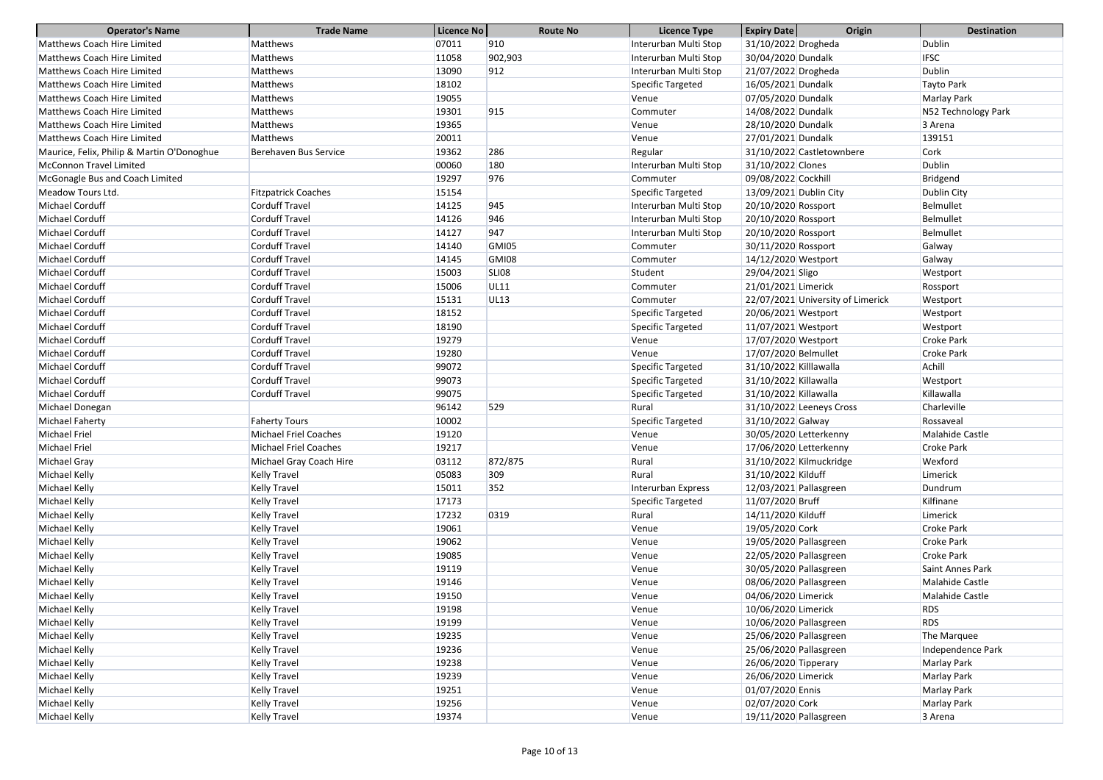| <b>Operator's Name</b>                     | <b>Trade Name</b>            | Licence No | <b>Route No</b> | <b>Licence Type</b>   | Origin<br><b>Expiry Date</b>      | <b>Destination</b>  |
|--------------------------------------------|------------------------------|------------|-----------------|-----------------------|-----------------------------------|---------------------|
| Matthews Coach Hire Limited                | Matthews                     | 07011      | 910             | Interurban Multi Stop | 31/10/2022 Drogheda               | <b>Dublin</b>       |
| <b>Matthews Coach Hire Limited</b>         | Matthews                     | 11058      | 902,903         | Interurban Multi Stop | 30/04/2020 Dundalk                | <b>IFSC</b>         |
| <b>Matthews Coach Hire Limited</b>         | Matthews                     | 13090      | 912             | Interurban Multi Stop | 21/07/2022 Drogheda               | <b>Dublin</b>       |
| <b>Matthews Coach Hire Limited</b>         | Matthews                     | 18102      |                 | Specific Targeted     | 16/05/2021 Dundalk                | Tayto Park          |
| Matthews Coach Hire Limited                | Matthews                     | 19055      |                 | Venue                 | 07/05/2020 Dundalk                | Marlay Park         |
| <b>Matthews Coach Hire Limited</b>         | Matthews                     | 19301      | 915             | Commuter              | 14/08/2022 Dundalk                | N52 Technology Park |
| <b>Matthews Coach Hire Limited</b>         | Matthews                     | 19365      |                 | Venue                 | 28/10/2020 Dundalk                | 3 Arena             |
| Matthews Coach Hire Limited                | Matthews                     | 20011      |                 | Venue                 | 27/01/2021 Dundalk                | 139151              |
| Maurice, Felix, Philip & Martin O'Donoghue | Berehaven Bus Service        | 19362      | 286             | Regular               | 31/10/2022 Castletownbere         | Cork                |
| <b>McConnon Travel Limited</b>             |                              | 00060      | 180             | Interurban Multi Stop | 31/10/2022 Clones                 | <b>Dublin</b>       |
| McGonagle Bus and Coach Limited            |                              | 19297      | 976             | Commuter              | 09/08/2022 Cockhill               | Bridgend            |
| Meadow Tours Ltd.                          | <b>Fitzpatrick Coaches</b>   | 15154      |                 | Specific Targeted     | 13/09/2021 Dublin City            | Dublin City         |
| Michael Corduff                            | <b>Corduff Travel</b>        | 14125      | 945             | Interurban Multi Stop | 20/10/2020 Rossport               | <b>Belmullet</b>    |
| Michael Corduff                            | <b>Corduff Travel</b>        | 14126      | 946             | Interurban Multi Stop | 20/10/2020 Rossport               | <b>Belmullet</b>    |
| Michael Corduff                            | <b>Corduff Travel</b>        | 14127      | 947             | Interurban Multi Stop | 20/10/2020 Rossport               | Belmullet           |
| Michael Corduff                            | <b>Corduff Travel</b>        | 14140      | <b>GMI05</b>    | Commuter              | 30/11/2020 Rossport               | Galway              |
| Michael Corduff                            | <b>Corduff Travel</b>        | 14145      | GMI08           | Commuter              | 14/12/2020 Westport               | Galway              |
| Michael Corduff                            | <b>Corduff Travel</b>        | 15003      | <b>SLI08</b>    | Student               | 29/04/2021 Sligo                  | Westport            |
| Michael Corduff                            | Corduff Travel               | 15006      | <b>UL11</b>     | Commuter              | 21/01/2021 Limerick               | Rossport            |
| Michael Corduff                            | <b>Corduff Travel</b>        | 15131      | <b>UL13</b>     | Commuter              | 22/07/2021 University of Limerick | Westport            |
| Michael Corduff                            | <b>Corduff Travel</b>        | 18152      |                 | Specific Targeted     | 20/06/2021 Westport               | Westport            |
| Michael Corduff                            | <b>Corduff Travel</b>        | 18190      |                 | Specific Targeted     | 11/07/2021 Westport               | Westport            |
| Michael Corduff                            | <b>Corduff Travel</b>        | 19279      |                 | Venue                 | 17/07/2020 Westport               | <b>Croke Park</b>   |
| Michael Corduff                            | <b>Corduff Travel</b>        | 19280      |                 | Venue                 | 17/07/2020 Belmullet              | Croke Park          |
| Michael Corduff                            | <b>Corduff Travel</b>        | 99072      |                 | Specific Targeted     | 31/10/2022 Killlawalla            | Achill              |
| Michael Corduff                            | <b>Corduff Travel</b>        | 99073      |                 | Specific Targeted     | 31/10/2022 Killawalla             | Westport            |
| Michael Corduff                            | <b>Corduff Travel</b>        | 99075      |                 | Specific Targeted     | 31/10/2022 Killawalla             | Killawalla          |
| Michael Donegan                            |                              | 96142      | 529             | Rural                 | 31/10/2022 Leeneys Cross          | Charleville         |
| Michael Faherty                            | <b>Faherty Tours</b>         | 10002      |                 | Specific Targeted     | 31/10/2022 Galway                 | Rossaveal           |
| Michael Friel                              | <b>Michael Friel Coaches</b> | 19120      |                 | Venue                 | 30/05/2020 Letterkenny            | Malahide Castle     |
| Michael Friel                              | <b>Michael Friel Coaches</b> | 19217      |                 | Venue                 | 17/06/2020 Letterkenny            | <b>Croke Park</b>   |
| Michael Gray                               | Michael Gray Coach Hire      | 03112      | 872/875         | Rural                 | 31/10/2022 Kilmuckridge           | Wexford             |
| Michael Kelly                              | Kelly Travel                 | 05083      | 309             | Rural                 | 31/10/2022 Kilduff                | Limerick            |
| Michael Kelly                              | Kelly Travel                 | 15011      | 352             | Interurban Express    | 12/03/2021 Pallasgreen            | Dundrum             |
| Michael Kelly                              | Kelly Travel                 | 17173      |                 | Specific Targeted     | 11/07/2020 Bruff                  | Kilfinane           |
| Michael Kelly                              | Kelly Travel                 | 17232      | 0319            | Rural                 | 14/11/2020 Kilduff                | Limerick            |
| Michael Kelly                              | Kelly Travel                 | 19061      |                 | Venue                 | 19/05/2020 Cork                   | <b>Croke Park</b>   |
| Michael Kelly                              | Kelly Travel                 | 19062      |                 | Venue                 | 19/05/2020 Pallasgreen            | <b>Croke Park</b>   |
| Michael Kelly                              | Kelly Travel                 | 19085      |                 | Venue                 | 22/05/2020 Pallasgreen            | <b>Croke Park</b>   |
| Michael Kelly                              | Kelly Travel                 | 19119      |                 | Venue                 | 30/05/2020 Pallasgreen            | Saint Annes Park    |
| Michael Kelly                              | Kelly Travel                 | 19146      |                 | Venue                 | 08/06/2020 Pallasgreen            | Malahide Castle     |
| Michael Kelly                              | Kelly Travel                 | 19150      |                 | Venue                 | 04/06/2020 Limerick               | Malahide Castle     |
| Michael Kelly                              | Kelly Travel                 | 19198      |                 | Venue                 | 10/06/2020 Limerick               | <b>RDS</b>          |
| Michael Kelly                              | Kelly Travel                 | 19199      |                 | Venue                 | 10/06/2020 Pallasgreen            | <b>RDS</b>          |
| Michael Kelly                              | Kelly Travel                 | 19235      |                 | Venue                 | 25/06/2020 Pallasgreen            | The Marquee         |
| Michael Kelly                              | Kelly Travel                 | 19236      |                 | Venue                 | 25/06/2020 Pallasgreen            | Independence Park   |
| Michael Kelly                              | Kelly Travel                 | 19238      |                 | Venue                 | 26/06/2020 Tipperary              | Marlay Park         |
| Michael Kelly                              | Kelly Travel                 | 19239      |                 | Venue                 | 26/06/2020 Limerick               | Marlay Park         |
| Michael Kelly                              | Kelly Travel                 | 19251      |                 | Venue                 | 01/07/2020 Ennis                  | Marlay Park         |
| Michael Kelly                              | Kelly Travel                 | 19256      |                 | Venue                 | 02/07/2020 Cork                   | Marlay Park         |
| Michael Kelly                              | <b>Kelly Travel</b>          | 19374      |                 | Venue                 | 19/11/2020 Pallasgreen            | 3 Arena             |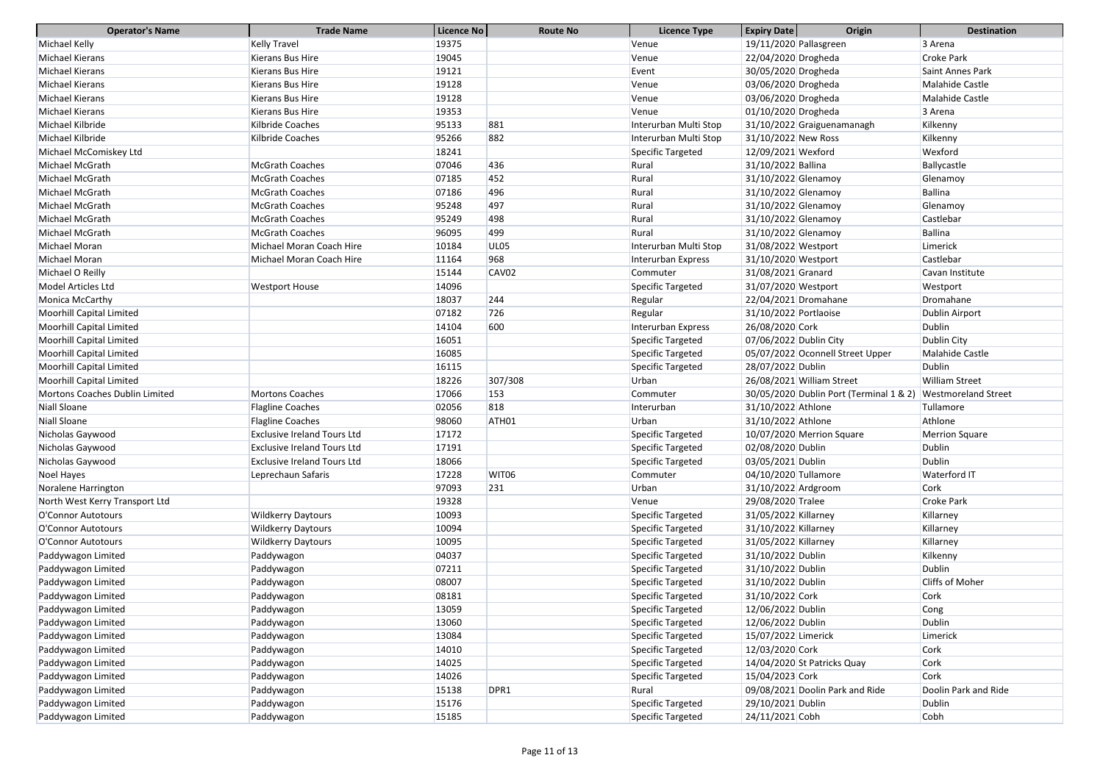| <b>Expiry Date</b><br>Origin<br><b>Licence Type</b><br>19375<br>Michael Kelly<br><b>Kelly Travel</b><br>19/11/2020 Pallasgreen<br>3 Arena<br>Venue<br><b>Michael Kierans</b><br>Kierans Bus Hire<br>19045<br>22/04/2020 Drogheda<br><b>Croke Park</b><br>Venue<br><b>Michael Kierans</b><br>19121<br>30/05/2020 Drogheda<br>Kierans Bus Hire<br>Event<br>Saint Annes Park |  |
|---------------------------------------------------------------------------------------------------------------------------------------------------------------------------------------------------------------------------------------------------------------------------------------------------------------------------------------------------------------------------|--|
|                                                                                                                                                                                                                                                                                                                                                                           |  |
|                                                                                                                                                                                                                                                                                                                                                                           |  |
|                                                                                                                                                                                                                                                                                                                                                                           |  |
| <b>Michael Kierans</b><br>19128<br>Kierans Bus Hire<br>03/06/2020 Drogheda<br>Malahide Castle<br>Venue                                                                                                                                                                                                                                                                    |  |
| <b>Michael Kierans</b><br>19128<br>03/06/2020 Drogheda<br>Malahide Castle<br>Kierans Bus Hire<br>Venue                                                                                                                                                                                                                                                                    |  |
| 19353<br><b>Michael Kierans</b><br>01/10/2020 Drogheda<br>3 Arena<br>Kierans Bus Hire<br>Venue                                                                                                                                                                                                                                                                            |  |
| 881<br>Michael Kilbride<br>Kilbride Coaches<br>95133<br>31/10/2022 Graiguenamanagh<br>Kilkenny<br>Interurban Multi Stop                                                                                                                                                                                                                                                   |  |
| 882<br>95266<br>Michael Kilbride<br>31/10/2022 New Ross<br>Kilbride Coaches<br>Interurban Multi Stop<br>Kilkenny                                                                                                                                                                                                                                                          |  |
| Michael McComiskey Ltd<br>18241<br>Specific Targeted<br>12/09/2021 Wexford<br>Wexford                                                                                                                                                                                                                                                                                     |  |
| 436<br><b>McGrath Coaches</b><br>07046<br>Michael McGrath<br>Rural<br>31/10/2022 Ballina<br>Ballycastle                                                                                                                                                                                                                                                                   |  |
| 452<br>Michael McGrath<br><b>McGrath Coaches</b><br>07185<br>31/10/2022 Glenamoy<br>Glenamoy<br>Rural                                                                                                                                                                                                                                                                     |  |
| 496<br>Michael McGrath<br>Ballina<br><b>McGrath Coaches</b><br>07186<br>31/10/2022 Glenamoy<br>Rural                                                                                                                                                                                                                                                                      |  |
| 497<br>Michael McGrath<br>95248<br>31/10/2022 Glenamoy<br><b>McGrath Coaches</b><br>Rural<br>Glenamoy                                                                                                                                                                                                                                                                     |  |
| 498<br>Michael McGrath<br><b>McGrath Coaches</b><br>95249<br>31/10/2022 Glenamoy<br>Castlebar<br>Rural                                                                                                                                                                                                                                                                    |  |
| 499<br><b>Ballina</b><br>Michael McGrath<br>96095<br>31/10/2022 Glenamoy<br><b>McGrath Coaches</b><br>Rural                                                                                                                                                                                                                                                               |  |
| Michael Moran<br>UL <sub>05</sub><br>Michael Moran Coach Hire<br>31/08/2022 Westport<br>Limerick<br>10184<br>Interurban Multi Stop                                                                                                                                                                                                                                        |  |
| 968<br>Michael Moran<br>Castlebar<br>Michael Moran Coach Hire<br>11164<br>31/10/2020 Westport<br>Interurban Express                                                                                                                                                                                                                                                       |  |
| CAV <sub>02</sub><br>Michael O Reilly<br>15144<br>31/08/2021 Granard<br>Cavan Institute<br>Commuter                                                                                                                                                                                                                                                                       |  |
| Model Articles Ltd<br>Specific Targeted<br><b>Westport House</b><br>14096<br>31/07/2020 Westport<br>Westport                                                                                                                                                                                                                                                              |  |
| 244<br>18037<br>22/04/2021 Dromahane<br>Monica McCarthy<br>Regular<br>Dromahane                                                                                                                                                                                                                                                                                           |  |
| 726<br><b>Moorhill Capital Limited</b><br>07182<br>31/10/2022 Portlaoise<br>Dublin Airport<br>Regular                                                                                                                                                                                                                                                                     |  |
| <b>Dublin</b><br><b>Moorhill Capital Limited</b><br>600<br>14104<br>26/08/2020 Cork<br>Interurban Express                                                                                                                                                                                                                                                                 |  |
| <b>Moorhill Capital Limited</b><br>16051<br>Specific Targeted<br>07/06/2022 Dublin City<br>Dublin City                                                                                                                                                                                                                                                                    |  |
| <b>Moorhill Capital Limited</b><br>16085<br>Specific Targeted<br>05/07/2022 Oconnell Street Upper<br>Malahide Castle                                                                                                                                                                                                                                                      |  |
| <b>Moorhill Capital Limited</b><br>16115<br>Specific Targeted<br>28/07/2022 Dublin<br><b>Dublin</b>                                                                                                                                                                                                                                                                       |  |
| <b>Moorhill Capital Limited</b><br>307/308<br>26/08/2021 William Street<br><b>William Street</b><br>18226<br>Urban                                                                                                                                                                                                                                                        |  |
| 153<br>17066<br>30/05/2020 Dublin Port (Terminal 1 & 2)<br><b>Mortons Coaches Dublin Limited</b><br><b>Mortons Coaches</b><br><b>Westmoreland Street</b><br>Commuter                                                                                                                                                                                                      |  |
| 818<br><b>Niall Sloane</b><br><b>Flagline Coaches</b><br>02056<br>31/10/2022 Athlone<br>Tullamore<br>Interurban                                                                                                                                                                                                                                                           |  |
| <b>Niall Sloane</b><br><b>Flagline Coaches</b><br>98060<br>ATH <sub>01</sub><br>Urban<br>31/10/2022 Athlone<br>Athlone                                                                                                                                                                                                                                                    |  |
| 17172<br>Specific Targeted<br>10/07/2020 Merrion Square<br>Nicholas Gaywood<br><b>Exclusive Ireland Tours Ltd</b><br><b>Merrion Square</b>                                                                                                                                                                                                                                |  |
| <b>Exclusive Ireland Tours Ltd</b><br>Specific Targeted<br>02/08/2020 Dublin<br>Nicholas Gaywood<br>17191<br>Dublin                                                                                                                                                                                                                                                       |  |
| Nicholas Gaywood<br><b>Exclusive Ireland Tours Ltd</b><br>18066<br>Specific Targeted<br>03/05/2021 Dublin<br><b>Dublin</b>                                                                                                                                                                                                                                                |  |
| Noel Hayes<br>Leprechaun Safaris<br>17228<br>WIT06<br>04/10/2020 Tullamore<br>Waterford IT<br>Commuter                                                                                                                                                                                                                                                                    |  |
| 231<br>Cork<br>97093<br>Noralene Harrington<br>Urban<br>31/10/2022 Ardgroom                                                                                                                                                                                                                                                                                               |  |
| 19328<br>29/08/2020 Tralee<br><b>Croke Park</b><br>North West Kerry Transport Ltd<br>Venue                                                                                                                                                                                                                                                                                |  |
| 10093<br>Specific Targeted<br>31/05/2022 Killarney<br>Killarney<br>O'Connor Autotours<br><b>Wildkerry Daytours</b>                                                                                                                                                                                                                                                        |  |
| 10094<br>31/10/2022 Killarney<br>O'Connor Autotours<br><b>Wildkerry Daytours</b><br>Specific Targeted<br>Killarney                                                                                                                                                                                                                                                        |  |
| 10095<br>Specific Targeted<br>31/05/2022 Killarney<br>Killarney<br>O'Connor Autotours<br><b>Wildkerry Daytours</b>                                                                                                                                                                                                                                                        |  |
| 04037<br>31/10/2022 Dublin<br>Paddywagon Limited<br>Specific Targeted<br>Kilkenny<br>Paddywagon                                                                                                                                                                                                                                                                           |  |
| Specific Targeted<br>31/10/2022 Dublin<br>Paddywagon Limited<br>Paddywagon<br>07211<br><b>Dublin</b>                                                                                                                                                                                                                                                                      |  |
| Cliffs of Moher<br>08007<br>Specific Targeted<br>Paddywagon Limited<br>31/10/2022 Dublin<br>Paddywagon                                                                                                                                                                                                                                                                    |  |
| Specific Targeted<br>31/10/2022 Cork<br>Cork<br>Paddywagon Limited<br>Paddywagon<br>08181                                                                                                                                                                                                                                                                                 |  |
| 13059<br>Specific Targeted<br>12/06/2022 Dublin<br>Cong<br>Paddywagon Limited<br>Paddywagon                                                                                                                                                                                                                                                                               |  |
| 13060<br>Specific Targeted<br>12/06/2022 Dublin<br>Dublin<br>Paddywagon Limited<br>Paddywagon                                                                                                                                                                                                                                                                             |  |
| 13084<br>Specific Targeted<br>15/07/2022 Limerick<br>Paddywagon Limited<br>Paddywagon<br>Limerick                                                                                                                                                                                                                                                                         |  |
| 14010<br>12/03/2020 Cork<br>Cork<br>Paddywagon Limited<br>Specific Targeted<br>Paddywagon                                                                                                                                                                                                                                                                                 |  |
| 14025<br>Specific Targeted<br>14/04/2020 St Patricks Quay<br>Cork<br>Paddywagon Limited<br>Paddywagon                                                                                                                                                                                                                                                                     |  |
| Cork<br>14026<br>Specific Targeted<br>15/04/2023 Cork<br>Paddywagon Limited<br>Paddywagon                                                                                                                                                                                                                                                                                 |  |
| 15138<br>DPR1<br>09/08/2021 Doolin Park and Ride<br>Doolin Park and Ride<br>Paddywagon Limited<br>Rural<br>Paddywagon                                                                                                                                                                                                                                                     |  |
| Paddywagon Limited<br>Paddywagon<br>15176<br>Specific Targeted<br>29/10/2021 Dublin<br><b>Dublin</b>                                                                                                                                                                                                                                                                      |  |
| Paddywagon Limited<br>24/11/2021 Cobh<br>Cobh<br>15185<br>Specific Targeted<br>Paddywagon                                                                                                                                                                                                                                                                                 |  |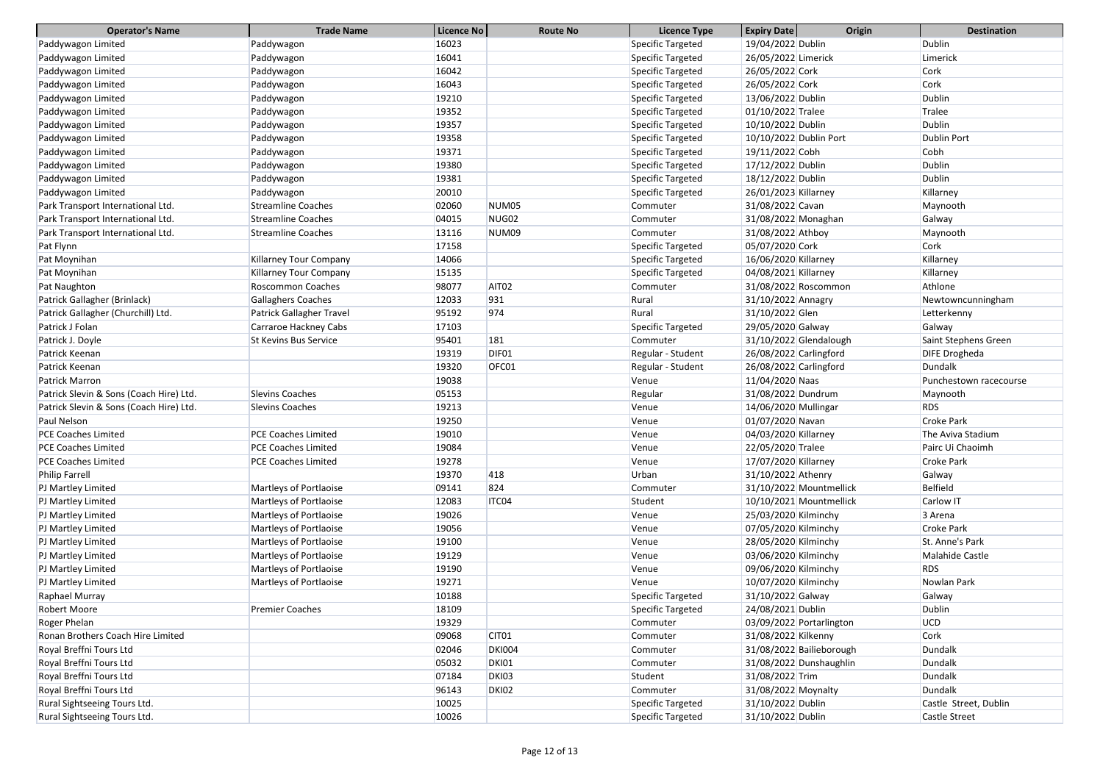| <b>Operator's Name</b>                  | <b>Trade Name</b>               | Licence No | <b>Route No</b>   | <b>Licence Type</b> | <b>Expiry Date</b>     | Origin                   | <b>Destination</b>     |
|-----------------------------------------|---------------------------------|------------|-------------------|---------------------|------------------------|--------------------------|------------------------|
| Paddywagon Limited                      | Paddywagon                      | 16023      |                   | Specific Targeted   | 19/04/2022 Dublin      |                          | <b>Dublin</b>          |
| Paddywagon Limited                      | Paddywagon                      | 16041      |                   | Specific Targeted   | 26/05/2022 Limerick    |                          | Limerick               |
| Paddywagon Limited                      | Paddywagon                      | 16042      |                   | Specific Targeted   | 26/05/2022 Cork        |                          | Cork                   |
| Paddywagon Limited                      | Paddywagon                      | 16043      |                   | Specific Targeted   | 26/05/2022 Cork        |                          | Cork                   |
| Paddywagon Limited                      | Paddywagon                      | 19210      |                   | Specific Targeted   | 13/06/2022 Dublin      |                          | Dublin                 |
| Paddywagon Limited                      | Paddywagon                      | 19352      |                   | Specific Targeted   | 01/10/2022 Tralee      |                          | Tralee                 |
| Paddywagon Limited                      | Paddywagon                      | 19357      |                   | Specific Targeted   | 10/10/2022 Dublin      |                          | Dublin                 |
| Paddywagon Limited                      | Paddywagon                      | 19358      |                   | Specific Targeted   | 10/10/2022 Dublin Port |                          | <b>Dublin Port</b>     |
| Paddywagon Limited                      | Paddywagon                      | 19371      |                   | Specific Targeted   | 19/11/2022 Cobh        |                          | Cobh                   |
| Paddywagon Limited                      | Paddywagon                      | 19380      |                   | Specific Targeted   | 17/12/2022 Dublin      |                          | <b>Dublin</b>          |
| Paddywagon Limited                      | Paddywagon                      | 19381      |                   | Specific Targeted   | 18/12/2022 Dublin      |                          | <b>Dublin</b>          |
| Paddywagon Limited                      | Paddywagon                      | 20010      |                   | Specific Targeted   | 26/01/2023 Killarney   |                          | Killarney              |
| Park Transport International Ltd.       | <b>Streamline Coaches</b>       | 02060      | NUM <sub>05</sub> | Commuter            | 31/08/2022 Cavan       |                          | Maynooth               |
| Park Transport International Ltd.       | <b>Streamline Coaches</b>       | 04015      | NUG02             | Commuter            | 31/08/2022 Monaghan    |                          | Galway                 |
| Park Transport International Ltd.       | <b>Streamline Coaches</b>       | 13116      | NUM09             | Commuter            | 31/08/2022 Athboy      |                          | Maynooth               |
| Pat Flynn                               |                                 | 17158      |                   | Specific Targeted   | 05/07/2020 Cork        |                          | Cork                   |
| Pat Moynihan                            | <b>Killarney Tour Company</b>   | 14066      |                   | Specific Targeted   | 16/06/2020 Killarney   |                          | Killarney              |
| Pat Moynihan                            | Killarney Tour Company          | 15135      |                   | Specific Targeted   | 04/08/2021 Killarney   |                          | Killarney              |
| Pat Naughton                            | <b>Roscommon Coaches</b>        | 98077      | AIT <sub>02</sub> | Commuter            |                        | 31/08/2022 Roscommon     | Athlone                |
| Patrick Gallagher (Brinlack)            | <b>Gallaghers Coaches</b>       | 12033      | 931               | Rural               | 31/10/2022 Annagry     |                          | Newtowncunningham      |
| Patrick Gallagher (Churchill) Ltd.      | <b>Patrick Gallagher Travel</b> | 95192      | 974               | Rural               | 31/10/2022 Glen        |                          | Letterkenny            |
| Patrick J Folan                         | Carraroe Hackney Cabs           | 17103      |                   | Specific Targeted   | 29/05/2020 Galway      |                          | Galway                 |
| Patrick J. Doyle                        | <b>St Kevins Bus Service</b>    | 95401      | <b>181</b>        | Commuter            |                        | 31/10/2022 Glendalough   | Saint Stephens Green   |
| Patrick Keenan                          |                                 | 19319      | DIF01             | Regular - Student   | 26/08/2022 Carlingford |                          | DIFE Drogheda          |
| Patrick Keenan                          |                                 | 19320      | OFC01             | Regular - Student   | 26/08/2022 Carlingford |                          | Dundalk                |
| <b>Patrick Marron</b>                   |                                 | 19038      |                   | Venue               | 11/04/2020 Naas        |                          | Punchestown racecourse |
| Patrick Slevin & Sons (Coach Hire) Ltd. | <b>Slevins Coaches</b>          | 05153      |                   | Regular             | 31/08/2022 Dundrum     |                          | Maynooth               |
| Patrick Slevin & Sons (Coach Hire) Ltd. | <b>Slevins Coaches</b>          | 19213      |                   | Venue               | 14/06/2020 Mullingar   |                          | <b>RDS</b>             |
| Paul Nelson                             |                                 | 19250      |                   | Venue               | 01/07/2020 Navan       |                          | <b>Croke Park</b>      |
| <b>PCE Coaches Limited</b>              | PCE Coaches Limited             | 19010      |                   | Venue               | 04/03/2020 Killarney   |                          | The Aviva Stadium      |
| <b>PCE Coaches Limited</b>              | <b>PCE Coaches Limited</b>      | 19084      |                   | Venue               | 22/05/2020 Tralee      |                          | Pairc Ui Chaoimh       |
| <b>PCE Coaches Limited</b>              | <b>PCE Coaches Limited</b>      | 19278      |                   | Venue               | 17/07/2020 Killarney   |                          | <b>Croke Park</b>      |
| Philip Farrell                          |                                 | 19370      | 418               | Urban               | 31/10/2022 Athenry     |                          | Galway                 |
| PJ Martley Limited                      | Martleys of Portlaoise          | 09141      | 824               | Commuter            |                        | 31/10/2022 Mountmellick  | <b>Belfield</b>        |
| PJ Martley Limited                      | Martleys of Portlaoise          | 12083      | ITC04             | Student             |                        | 10/10/2021 Mountmellick  | Carlow IT              |
| PJ Martley Limited                      | Martleys of Portlaoise          | 19026      |                   | Venue               | 25/03/2020 Kilminchy   |                          | 3 Arena                |
| PJ Martley Limited                      | Martleys of Portlaoise          | 19056      |                   | Venue               | 07/05/2020 Kilminchy   |                          | <b>Croke Park</b>      |
| PJ Martley Limited                      | Martleys of Portlaoise          | 19100      |                   | Venue               | 28/05/2020 Kilminchy   |                          | St. Anne's Park        |
| PJ Martley Limited                      | Martleys of Portlaoise          | 19129      |                   | Venue               | 03/06/2020 Kilminchy   |                          | Malahide Castle        |
| PJ Martley Limited                      | Martleys of Portlaoise          | 19190      |                   | Venue               | 09/06/2020 Kilminchy   |                          | <b>RDS</b>             |
| PJ Martley Limited                      | Martleys of Portlaoise          | 19271      |                   | Venue               | 10/07/2020 Kilminchy   |                          | Nowlan Park            |
| Raphael Murray                          |                                 | 10188      |                   | Specific Targeted   | 31/10/2022 Galway      |                          | Galway                 |
| <b>Robert Moore</b>                     | <b>Premier Coaches</b>          | 18109      |                   | Specific Targeted   | 24/08/2021 Dublin      |                          | <b>Dublin</b>          |
| Roger Phelan                            |                                 | 19329      |                   | Commuter            |                        | 03/09/2022 Portarlington | UCD                    |
| Ronan Brothers Coach Hire Limited       |                                 | 09068      | CIT <sub>01</sub> | Commuter            | 31/08/2022 Kilkenny    |                          | Cork                   |
| Royal Breffni Tours Ltd                 |                                 | 02046      | <b>DKI004</b>     | Commuter            |                        | 31/08/2022 Bailieborough | Dundalk                |
| Royal Breffni Tours Ltd                 |                                 | 05032      | <b>DKI01</b>      | Commuter            |                        | 31/08/2022 Dunshaughlin  | Dundalk                |
| Royal Breffni Tours Ltd                 |                                 | 07184      | DKI03             | Student             | 31/08/2022 Trim        |                          | Dundalk                |
| Royal Breffni Tours Ltd                 |                                 | 96143      | DKI02             | Commuter            | 31/08/2022 Moynalty    |                          | Dundalk                |
| Rural Sightseeing Tours Ltd.            |                                 | 10025      |                   | Specific Targeted   | 31/10/2022 Dublin      |                          | Castle Street, Dublin  |
| Rural Sightseeing Tours Ltd.            |                                 | 10026      |                   | Specific Targeted   | 31/10/2022 Dublin      |                          | Castle Street          |
|                                         |                                 |            |                   |                     |                        |                          |                        |